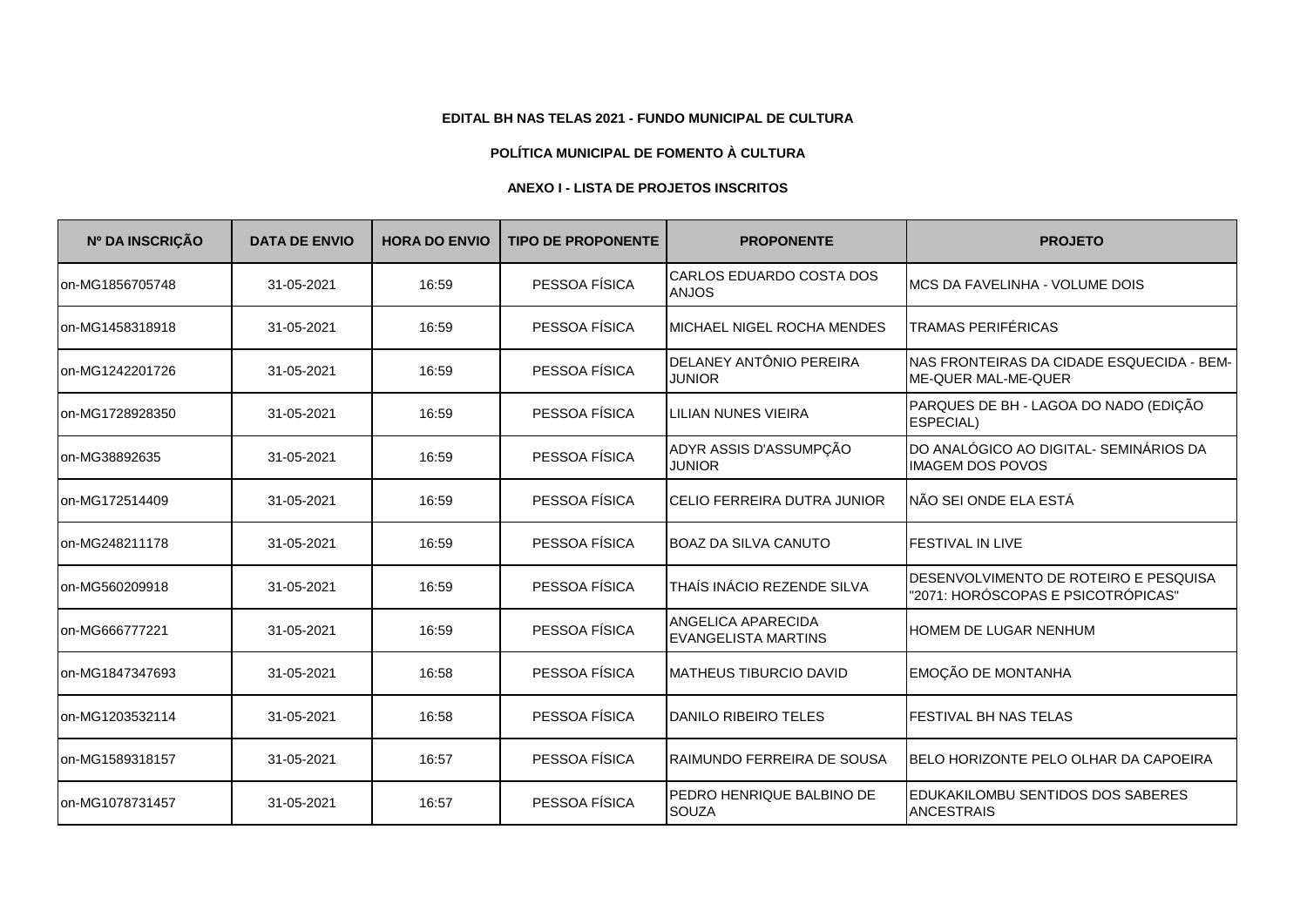## **EDITAL BH NAS TELAS 2021 - FUNDO MUNICIPAL DE CULTURA**

## **POLÍTICA MUNICIPAL DE FOMENTO À CULTURA**

## **ANEXO I - LISTA DE PROJETOS INSCRITOS**

| Nº DA INSCRIÇÃO | <b>DATA DE ENVIO</b> | <b>HORA DO ENVIO</b> | <b>TIPO DE PROPONENTE</b> | <b>PROPONENTE</b>                                       | <b>PROJETO</b>                                                              |
|-----------------|----------------------|----------------------|---------------------------|---------------------------------------------------------|-----------------------------------------------------------------------------|
| on-MG1856705748 | 31-05-2021           | 16:59                | PESSOA FÍSICA             | CARLOS EDUARDO COSTA DOS<br><b>ANJOS</b>                | <b>IMCS DA FAVELINHA - VOLUME DOIS</b>                                      |
| on-MG1458318918 | 31-05-2021           | 16:59                | PESSOA FÍSICA             | MICHAEL NIGEL ROCHA MENDES                              | <b>TRAMAS PERIFÉRICAS</b>                                                   |
| on-MG1242201726 | 31-05-2021           | 16:59                | PESSOA FÍSICA             | DELANEY ANTÔNIO PEREIRA<br><b>JUNIOR</b>                | NAS FRONTEIRAS DA CIDADE ESQUECIDA - BEM-<br>ME-QUER MAL-ME-QUER            |
| on-MG1728928350 | 31-05-2021           | 16:59                | PESSOA FÍSICA             | <b>LILIAN NUNES VIEIRA</b>                              | PARQUES DE BH - LAGOA DO NADO (EDIÇÃO<br>ESPECIAL)                          |
| on-MG38892635   | 31-05-2021           | 16:59                | PESSOA FÍSICA             | ADYR ASSIS D'ASSUMPÇÃO<br><b>JUNIOR</b>                 | DO ANALÓGICO AO DIGITAL- SEMINÁRIOS DA<br><b>IMAGEM DOS POVOS</b>           |
| on-MG172514409  | 31-05-2021           | 16:59                | PESSOA FÍSICA             | CELIO FERREIRA DUTRA JUNIOR                             | INÃO SEI ONDE ELA ESTÁ                                                      |
| on-MG248211178  | 31-05-2021           | 16:59                | PESSOA FÍSICA             | <b>BOAZ DA SILVA CANUTO</b>                             | <b>FESTIVAL IN LIVE</b>                                                     |
| on-MG560209918  | 31-05-2021           | 16:59                | PESSOA FÍSICA             | THAÍS INÁCIO REZENDE SILVA                              | DESENVOLVIMENTO DE ROTEIRO E PESQUISA<br>"2071: HORÓSCOPAS E PSICOTRÓPICAS" |
| on-MG666777221  | 31-05-2021           | 16:59                | PESSOA FÍSICA             | <b>ANGELICA APARECIDA</b><br><b>EVANGELISTA MARTINS</b> | <b>HOMEM DE LUGAR NENHUM</b>                                                |
| on-MG1847347693 | 31-05-2021           | 16:58                | PESSOA FÍSICA             | <b>MATHEUS TIBURCIO DAVID</b>                           | EMOÇÃO DE MONTANHA                                                          |
| on-MG1203532114 | 31-05-2021           | 16:58                | PESSOA FÍSICA             | DANILO RIBEIRO TELES                                    | <b>I</b> FESTIVAL BH NAS TELAS                                              |
| on-MG1589318157 | 31-05-2021           | 16:57                | PESSOA FÍSICA             | RAIMUNDO FERREIRA DE SOUSA                              | IBELO HORIZONTE PELO OLHAR DA CAPOEIRA                                      |
| on-MG1078731457 | 31-05-2021           | 16:57                | PESSOA FÍSICA             | PEDRO HENRIQUE BALBINO DE<br><b>SOUZA</b>               | EDUKAKILOMBU SENTIDOS DOS SABERES<br><b>ANCESTRAIS</b>                      |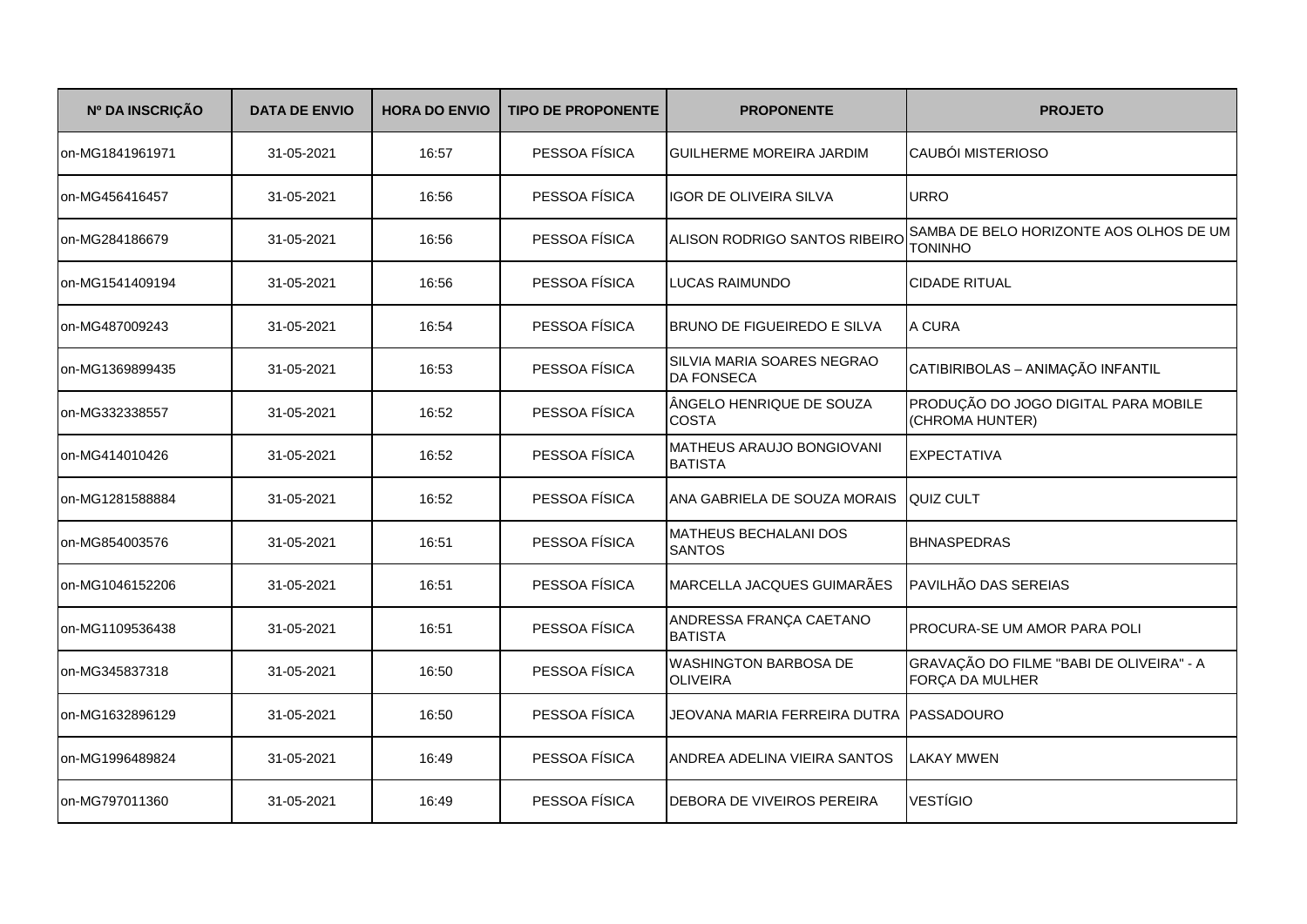| Nº DA INSCRIÇÃO | <b>DATA DE ENVIO</b> | <b>HORA DO ENVIO</b> | <b>TIPO DE PROPONENTE</b> | <b>PROPONENTE</b>                               | <b>PROJETO</b>                                              |
|-----------------|----------------------|----------------------|---------------------------|-------------------------------------------------|-------------------------------------------------------------|
| on-MG1841961971 | 31-05-2021           | 16:57                | PESSOA FÍSICA             | <b>GUILHERME MOREIRA JARDIM</b>                 | <b>CAUBÓI MISTERIOSO</b>                                    |
| on-MG456416457  | 31-05-2021           | 16:56                | PESSOA FÍSICA             | IGOR DE OLIVEIRA SILVA                          | <b>URRO</b>                                                 |
| on-MG284186679  | 31-05-2021           | 16:56                | PESSOA FÍSICA             | ALISON RODRIGO SANTOS RIBEIRO                   | SAMBA DE BELO HORIZONTE AOS OLHOS DE UM<br><b>TONINHO</b>   |
| on-MG1541409194 | 31-05-2021           | 16:56                | PESSOA FÍSICA             | <b>LUCAS RAIMUNDO</b>                           | <b>CIDADE RITUAL</b>                                        |
| on-MG487009243  | 31-05-2021           | 16:54                | PESSOA FÍSICA             | BRUNO DE FIGUEIREDO E SILVA                     | A CURA                                                      |
| on-MG1369899435 | 31-05-2021           | 16:53                | PESSOA FÍSICA             | SILVIA MARIA SOARES NEGRAO<br><b>DA FONSECA</b> | CATIBIRIBOLAS - ANIMAÇÃO INFANTIL                           |
| on-MG332338557  | 31-05-2021           | 16:52                | PESSOA FÍSICA             | ÂNGELO HENRIQUE DE SOUZA<br><b>COSTA</b>        | PRODUÇÃO DO JOGO DIGITAL PARA MOBILE<br>(CHROMA HUNTER)     |
| on-MG414010426  | 31-05-2021           | 16:52                | PESSOA FÍSICA             | MATHEUS ARAUJO BONGIOVANI<br><b>BATISTA</b>     | <b>EXPECTATIVA</b>                                          |
| on-MG1281588884 | 31-05-2021           | 16:52                | PESSOA FÍSICA             | ANA GABRIELA DE SOUZA MORAIS                    | <b>QUIZ CULT</b>                                            |
| on-MG854003576  | 31-05-2021           | 16:51                | PESSOA FÍSICA             | MATHEUS BECHALANI DOS<br><b>SANTOS</b>          | <b>BHNASPEDRAS</b>                                          |
| on-MG1046152206 | 31-05-2021           | 16:51                | PESSOA FÍSICA             | MARCELLA JACQUES GUIMARÃES                      | PAVILHÃO DAS SEREIAS                                        |
| on-MG1109536438 | 31-05-2021           | 16:51                | PESSOA FÍSICA             | ANDRESSA FRANÇA CAETANO<br><b>BATISTA</b>       | PROCURA-SE UM AMOR PARA POLI                                |
| on-MG345837318  | 31-05-2021           | 16:50                | PESSOA FÍSICA             | <b>WASHINGTON BARBOSA DE</b><br><b>OLIVEIRA</b> | GRAVAÇÃO DO FILME "BABI DE OLIVEIRA" - A<br>FORÇA DA MULHER |
| on-MG1632896129 | 31-05-2021           | 16:50                | PESSOA FÍSICA             | JEOVANA MARIA FERREIRA DUTRA PASSADOURO         |                                                             |
| on-MG1996489824 | 31-05-2021           | 16:49                | PESSOA FÍSICA             | ANDREA ADELINA VIEIRA SANTOS                    | LAKAY MWEN                                                  |
| on-MG797011360  | 31-05-2021           | 16:49                | PESSOA FÍSICA             | DEBORA DE VIVEIROS PEREIRA                      | <b>VESTÍGIO</b>                                             |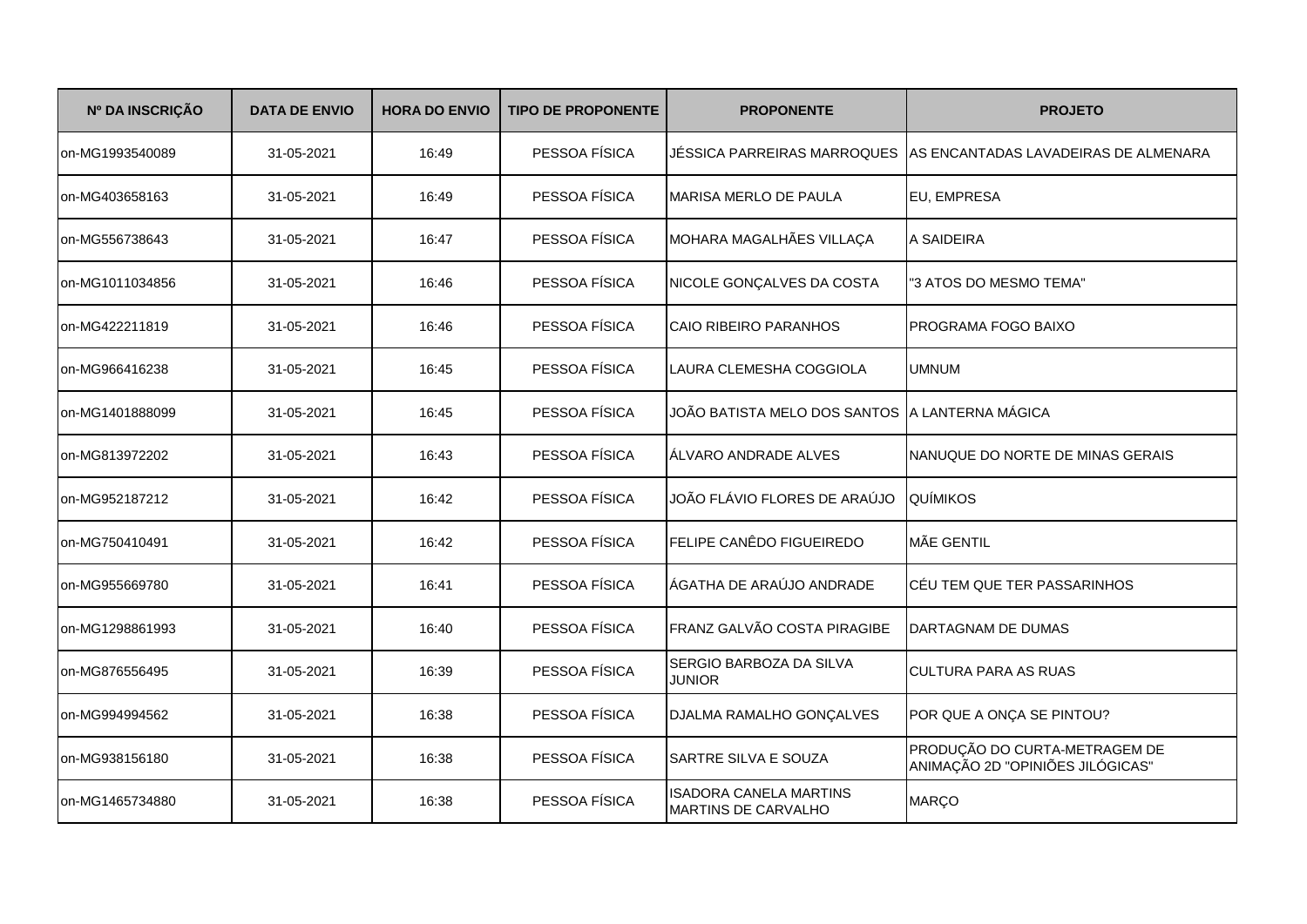| Nº DA INSCRIÇÃO | <b>DATA DE ENVIO</b> | <b>HORA DO ENVIO</b> | <b>TIPO DE PROPONENTE</b> | <b>PROPONENTE</b>                                           | <b>PROJETO</b>                                                    |
|-----------------|----------------------|----------------------|---------------------------|-------------------------------------------------------------|-------------------------------------------------------------------|
| on-MG1993540089 | 31-05-2021           | 16:49                | PESSOA FÍSICA             | JÉSSICA PARREIRAS MARROQUES                                 | LAS ENCANTADAS LAVADEIRAS DE ALMENARA                             |
| on-MG403658163  | 31-05-2021           | 16:49                | PESSOA FÍSICA             | MARISA MERLO DE PAULA                                       | EU, EMPRESA                                                       |
| on-MG556738643  | 31-05-2021           | 16:47                | PESSOA FÍSICA             | MOHARA MAGALHÃES VILLAÇA                                    | A SAIDEIRA                                                        |
| on-MG1011034856 | 31-05-2021           | 16:46                | PESSOA FÍSICA             | NICOLE GONÇALVES DA COSTA                                   | "3 ATOS DO MESMO TEMA"                                            |
| on-MG422211819  | 31-05-2021           | 16:46                | PESSOA FÍSICA             | CAIO RIBEIRO PARANHOS                                       | <b>PROGRAMA FOGO BAIXO</b>                                        |
| on-MG966416238  | 31-05-2021           | 16:45                | PESSOA FÍSICA             | LAURA CLEMESHA COGGIOLA                                     | <b>UMNUM</b>                                                      |
| on-MG1401888099 | 31-05-2021           | 16:45                | PESSOA FÍSICA             | JOÃO BATISTA MELO DOS SANTOS A LANTERNA MÁGICA              |                                                                   |
| on-MG813972202  | 31-05-2021           | 16:43                | PESSOA FÍSICA             | ÁLVARO ANDRADE ALVES                                        | NANUQUE DO NORTE DE MINAS GERAIS                                  |
| on-MG952187212  | 31-05-2021           | 16:42                | PESSOA FÍSICA             | JOÃO FLÁVIO FLORES DE ARAÚJO                                | <b>QUÍMIKOS</b>                                                   |
| on-MG750410491  | 31-05-2021           | 16:42                | PESSOA FÍSICA             | FELIPE CANÊDO FIGUEIREDO                                    | <b>MÃE GENTIL</b>                                                 |
| on-MG955669780  | 31-05-2021           | 16:41                | PESSOA FÍSICA             | ÁGATHA DE ARAÚJO ANDRADE                                    | CÉU TEM QUE TER PASSARINHOS                                       |
| on-MG1298861993 | 31-05-2021           | 16:40                | PESSOA FÍSICA             | FRANZ GALVÃO COSTA PIRAGIBE                                 | DARTAGNAM DE DUMAS                                                |
| on-MG876556495  | 31-05-2021           | 16:39                | PESSOA FÍSICA             | SERGIO BARBOZA DA SILVA<br>JUNIOR                           | <b>CULTURA PARA AS RUAS</b>                                       |
| on-MG994994562  | 31-05-2021           | 16:38                | PESSOA FÍSICA             | DJALMA RAMALHO GONÇALVES                                    | POR QUE A ONÇA SE PINTOU?                                         |
| on-MG938156180  | 31-05-2021           | 16:38                | PESSOA FÍSICA             | SARTRE SILVA E SOUZA                                        | PRODUÇÃO DO CURTA-METRAGEM DE<br>ANIMAÇÃO 2D "OPINIÕES JILÓGICAS" |
| on-MG1465734880 | 31-05-2021           | 16:38                | PESSOA FÍSICA             | <b>ISADORA CANELA MARTINS</b><br><b>MARTINS DE CARVALHO</b> | <b>MARÇO</b>                                                      |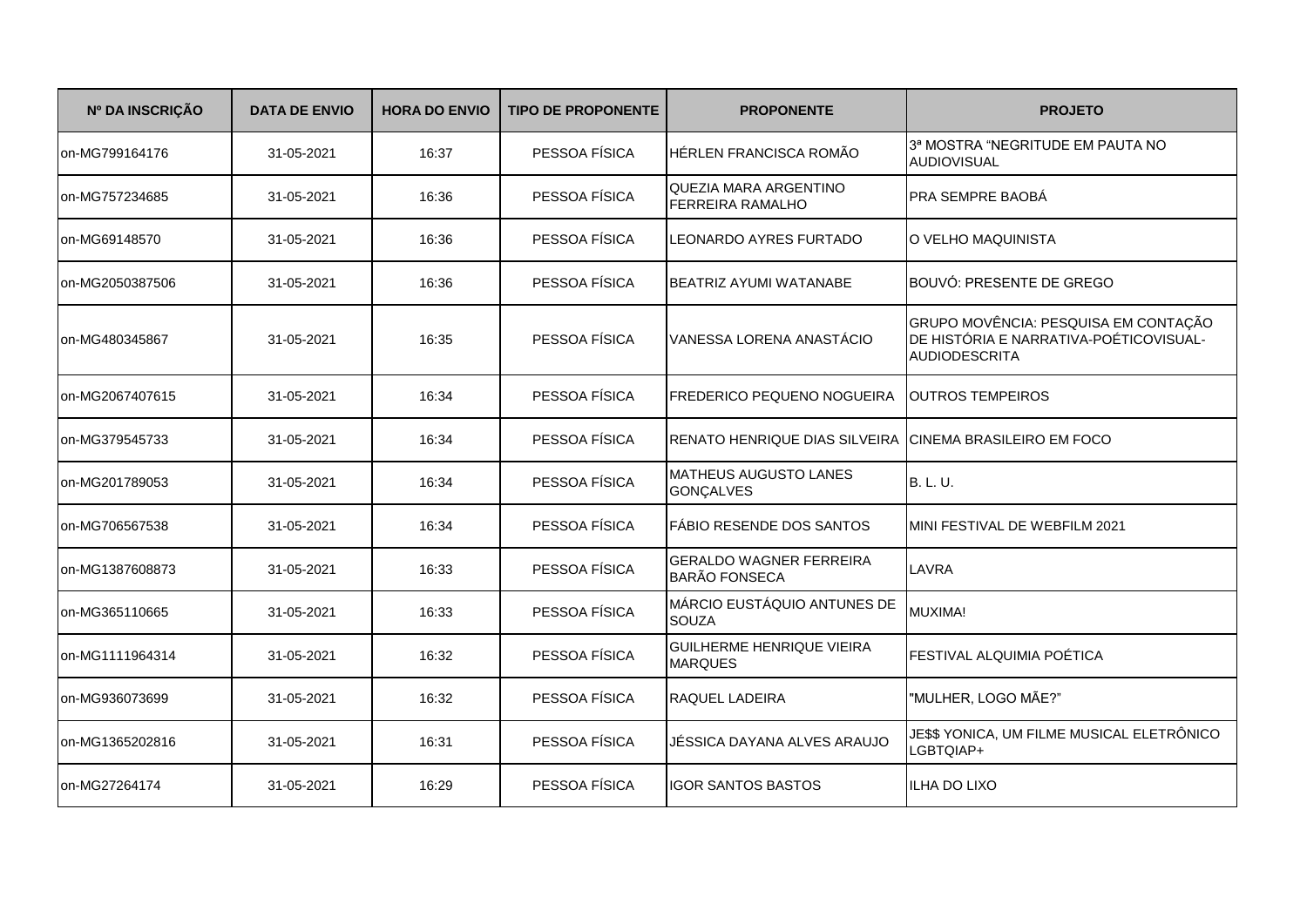| Nº DA INSCRIÇÃO | <b>DATA DE ENVIO</b> | <b>HORA DO ENVIO</b> | <b>TIPO DE PROPONENTE</b> | <b>PROPONENTE</b>                                      | <b>PROJETO</b>                                                                                         |
|-----------------|----------------------|----------------------|---------------------------|--------------------------------------------------------|--------------------------------------------------------------------------------------------------------|
| on-MG799164176  | 31-05-2021           | 16:37                | PESSOA FÍSICA             | HÉRLEN FRANCISCA ROMÃO                                 | 3ª MOSTRA "NEGRITUDE EM PAUTA NO<br>AUDIOVISUAL                                                        |
| on-MG757234685  | 31-05-2021           | 16:36                | PESSOA FÍSICA             | QUEZIA MARA ARGENTINO<br>FERREIRA RAMALHO              | PRA SEMPRE BAOBÀ                                                                                       |
| on-MG69148570   | 31-05-2021           | 16:36                | PESSOA FÍSICA             | <b>LEONARDO AYRES FURTADO</b>                          | O VELHO MAQUINISTA                                                                                     |
| on-MG2050387506 | 31-05-2021           | 16:36                | PESSOA FÍSICA             | BEATRIZ AYUMI WATANABE                                 | BOUVÓ: PRESENTE DE GREGO                                                                               |
| on-MG480345867  | 31-05-2021           | 16:35                | PESSOA FÍSICA             | VANESSA LORENA ANASTÁCIO                               | GRUPO MOVÊNCIA: PESQUISA EM CONTAÇÃO<br>DE HISTÓRIA E NARRATIVA-POÉTICOVISUAL-<br><b>AUDIODESCRITA</b> |
| on-MG2067407615 | 31-05-2021           | 16:34                | PESSOA FÍSICA             | <b>FREDERICO PEQUENO NOGUEIRA</b>                      | <b>OUTROS TEMPEIROS</b>                                                                                |
| on-MG379545733  | 31-05-2021           | 16:34                | PESSOA FÍSICA             | <b>RENATO HENRIQUE DIAS SILVEIRA</b>                   | <b>ICINEMA BRASILEIRO EM FOCO</b>                                                                      |
| on-MG201789053  | 31-05-2021           | 16:34                | PESSOA FÍSICA             | <b>MATHEUS AUGUSTO LANES</b><br><b>GONÇALVES</b>       | <b>B. L. U.</b>                                                                                        |
| on-MG706567538  | 31-05-2021           | 16:34                | PESSOA FÍSICA             | FÁBIO RESENDE DOS SANTOS                               | MINI FESTIVAL DE WEBFILM 2021                                                                          |
| on-MG1387608873 | 31-05-2021           | 16:33                | PESSOA FÍSICA             | <b>GERALDO WAGNER FERREIRA</b><br><b>BARÃO FONSECA</b> | LAVRA                                                                                                  |
| on-MG365110665  | 31-05-2021           | 16:33                | PESSOA FÍSICA             | MÁRCIO EUSTÁQUIO ANTUNES DE<br><b>SOUZA</b>            | MUXIMA!                                                                                                |
| on-MG1111964314 | 31-05-2021           | 16:32                | PESSOA FÍSICA             | <b>GUILHERME HENRIQUE VIEIRA</b><br><b>MARQUES</b>     | FESTIVAL ALQUIMIA POÉTICA                                                                              |
| on-MG936073699  | 31-05-2021           | 16:32                | PESSOA FÍSICA             | <b>RAQUEL LADEIRA</b>                                  | "MULHER, LOGO MÃE?"                                                                                    |
| on-MG1365202816 | 31-05-2021           | 16:31                | PESSOA FÍSICA             | JÉSSICA DAYANA ALVES ARAUJO                            | JE\$\$ YONICA, UM FILME MUSICAL ELETRÔNICO<br>LGBTQIAP+                                                |
| on-MG27264174   | 31-05-2021           | 16:29                | PESSOA FÍSICA             | <b>IGOR SANTOS BASTOS</b>                              | <b>ILHA DO LIXO</b>                                                                                    |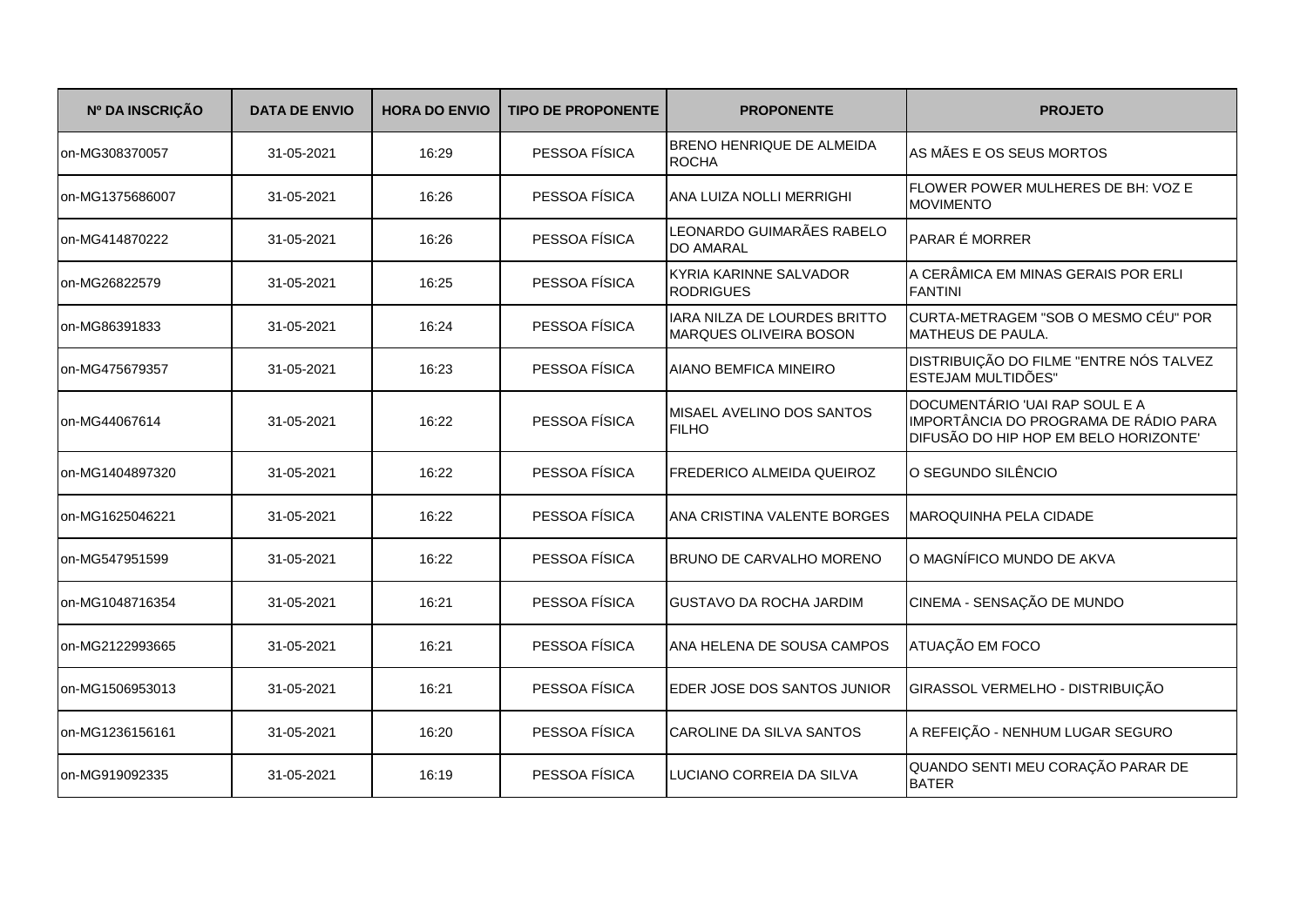| Nº DA INSCRIÇÃO | <b>DATA DE ENVIO</b> | <b>HORA DO ENVIO</b> | <b>TIPO DE PROPONENTE</b> | <b>PROPONENTE</b>                                      | <b>PROJETO</b>                                                                                                   |
|-----------------|----------------------|----------------------|---------------------------|--------------------------------------------------------|------------------------------------------------------------------------------------------------------------------|
| on-MG308370057  | 31-05-2021           | 16:29                | PESSOA FÍSICA             | BRENO HENRIQUE DE ALMEIDA<br><b>ROCHA</b>              | AS MÃES E OS SEUS MORTOS                                                                                         |
| on-MG1375686007 | 31-05-2021           | 16:26                | PESSOA FÍSICA             | ANA LUIZA NOLLI MERRIGHI                               | FLOWER POWER MULHERES DE BH: VOZ E<br><b>MOVIMENTO</b>                                                           |
| on-MG414870222  | 31-05-2021           | 16:26                | PESSOA FÍSICA             | LEONARDO GUIMARÃES RABELO<br><b>DO AMARAL</b>          | <b>PARAR É MORRER</b>                                                                                            |
| on-MG26822579   | 31-05-2021           | 16:25                | PESSOA FÍSICA             | KYRIA KARINNE SALVADOR<br><b>RODRIGUES</b>             | A CERÂMICA EM MINAS GERAIS POR ERLI<br><b>FANTINI</b>                                                            |
| on-MG86391833   | 31-05-2021           | 16:24                | PESSOA FÍSICA             | IARA NILZA DE LOURDES BRITTO<br>MARQUES OLIVEIRA BOSON | CURTA-METRAGEM "SOB O MESMO CÉU" POR<br><b>MATHEUS DE PAULA.</b>                                                 |
| on-MG475679357  | 31-05-2021           | 16:23                | PESSOA FÍSICA             | AIANO BEMFICA MINEIRO                                  | DISTRIBUIÇÃO DO FILME "ENTRE NÓS TALVEZ<br>ESTEJAM MULTIDÕES"                                                    |
| on-MG44067614   | 31-05-2021           | 16:22                | PESSOA FÍSICA             | MISAEL AVELINO DOS SANTOS<br><b>FILHO</b>              | DOCUMENTÁRIO 'UAI RAP SOUL E A<br>IMPORTÂNCIA DO PROGRAMA DE RÁDIO PARA<br>DIFUSÃO DO HIP HOP EM BELO HORIZONTE' |
| on-MG1404897320 | 31-05-2021           | 16:22                | PESSOA FÍSICA             | FREDERICO ALMEIDA QUEIROZ                              | O SEGUNDO SILÊNCIO                                                                                               |
| on-MG1625046221 | 31-05-2021           | 16:22                | PESSOA FÍSICA             | ANA CRISTINA VALENTE BORGES                            | <b>MAROQUINHA PELA CIDADE</b>                                                                                    |
| on-MG547951599  | 31-05-2021           | 16:22                | PESSOA FÍSICA             | <b>BRUNO DE CARVALHO MORENO</b>                        | O MAGNÍFICO MUNDO DE AKVA                                                                                        |
| on-MG1048716354 | 31-05-2021           | 16:21                | PESSOA FÍSICA             | <b>GUSTAVO DA ROCHA JARDIM</b>                         | CINEMA - SENSAÇÃO DE MUNDO                                                                                       |
| on-MG2122993665 | 31-05-2021           | 16:21                | PESSOA FÍSICA             | ANA HELENA DE SOUSA CAMPOS                             | ATUAÇÃO EM FOCO                                                                                                  |
| on-MG1506953013 | 31-05-2021           | 16:21                | PESSOA FÍSICA             | EDER JOSE DOS SANTOS JUNIOR                            | GIRASSOL VERMELHO - DISTRIBUIÇÃO                                                                                 |
| on-MG1236156161 | 31-05-2021           | 16:20                | PESSOA FÍSICA             | CAROLINE DA SILVA SANTOS                               | A REFEIÇÃO - NENHUM LUGAR SEGURO                                                                                 |
| on-MG919092335  | 31-05-2021           | 16:19                | PESSOA FÍSICA             | LUCIANO CORREIA DA SILVA                               | QUANDO SENTI MEU CORAÇÃO PARAR DE<br><b>BATER</b>                                                                |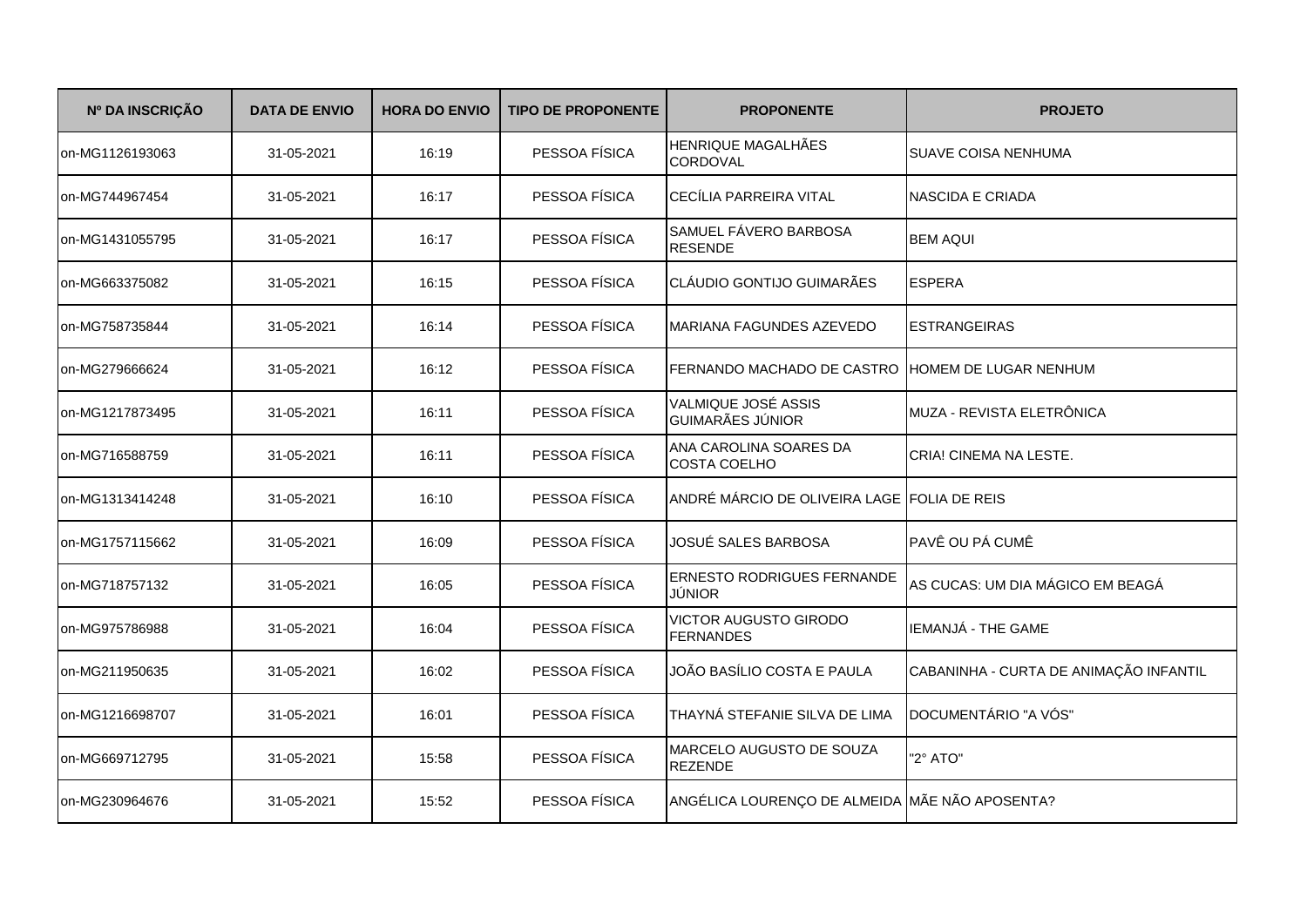| Nº DA INSCRIÇÃO | <b>DATA DE ENVIO</b> | <b>HORA DO ENVIO</b> | <b>TIPO DE PROPONENTE</b> | <b>PROPONENTE</b>                                | <b>PROJETO</b>                         |
|-----------------|----------------------|----------------------|---------------------------|--------------------------------------------------|----------------------------------------|
| on-MG1126193063 | 31-05-2021           | 16:19                | PESSOA FÍSICA             | HENRIQUE MAGALHÃES<br><b>CORDOVAL</b>            | <b>SUAVE COISA NENHUMA</b>             |
| on-MG744967454  | 31-05-2021           | 16:17                | PESSOA FÍSICA             | CECÍLIA PARREIRA VITAL                           | <b>NASCIDA E CRIADA</b>                |
| on-MG1431055795 | 31-05-2021           | 16:17                | PESSOA FÍSICA             | SAMUEL FÁVERO BARBOSA<br><b>RESENDE</b>          | <b>BEM AQUI</b>                        |
| on-MG663375082  | 31-05-2021           | 16:15                | PESSOA FÍSICA             | CLÁUDIO GONTIJO GUIMARÃES                        | <b>ESPERA</b>                          |
| on-MG758735844  | 31-05-2021           | 16:14                | PESSOA FÍSICA             | MARIANA FAGUNDES AZEVEDO                         | <b>ESTRANGEIRAS</b>                    |
| on-MG279666624  | 31-05-2021           | 16:12                | PESSOA FÍSICA             | FERNANDO MACHADO DE CASTRO HOMEM DE LUGAR NENHUM |                                        |
| on-MG1217873495 | 31-05-2021           | 16:11                | PESSOA FÍSICA             | VALMIQUE JOSÉ ASSIS<br><b>GUIMARÃES JÚNIOR</b>   | MUZA - REVISTA ELETRÔNICA              |
| on-MG716588759  | 31-05-2021           | 16:11                | PESSOA FÍSICA             | ANA CAROLINA SOARES DA<br><b>COSTA COELHO</b>    | CRIA! CINEMA NA LESTE.                 |
| on-MG1313414248 | 31-05-2021           | 16:10                | PESSOA FÍSICA             | ANDRÉ MÁRCIO DE OLIVEIRA LAGE FOLIA DE REIS      |                                        |
| on-MG1757115662 | 31-05-2021           | 16:09                | PESSOA FÍSICA             | JOSUÉ SALES BARBOSA                              | PAVÊ OU PÁ CUMÊ                        |
| on-MG718757132  | 31-05-2021           | 16:05                | PESSOA FÍSICA             | <b>ERNESTO RODRIGUES FERNANDE</b><br>JÚNIOR      | AS CUCAS: UM DIA MÁGICO EM BEAGÁ       |
| on-MG975786988  | 31-05-2021           | 16:04                | PESSOA FÍSICA             | <b>VICTOR AUGUSTO GIRODO</b><br><b>FERNANDES</b> | IEMANJÁ - THE GAME                     |
| on-MG211950635  | 31-05-2021           | 16:02                | PESSOA FÍSICA             | JOÃO BASÍLIO COSTA E PAULA                       | CABANINHA - CURTA DE ANIMAÇÃO INFANTIL |
| on-MG1216698707 | 31-05-2021           | 16:01                | PESSOA FÍSICA             | THAYNÁ STEFANIE SILVA DE LIMA                    | DOCUMENTÁRIO "A VÓS"                   |
| on-MG669712795  | 31-05-2021           | 15:58                | PESSOA FÍSICA             | MARCELO AUGUSTO DE SOUZA<br><b>REZENDE</b>       | "2° ATO"                               |
| on-MG230964676  | 31-05-2021           | 15:52                | PESSOA FÍSICA             | ANGÉLICA LOURENÇO DE ALMEIDA MÃE NÃO APOSENTA?   |                                        |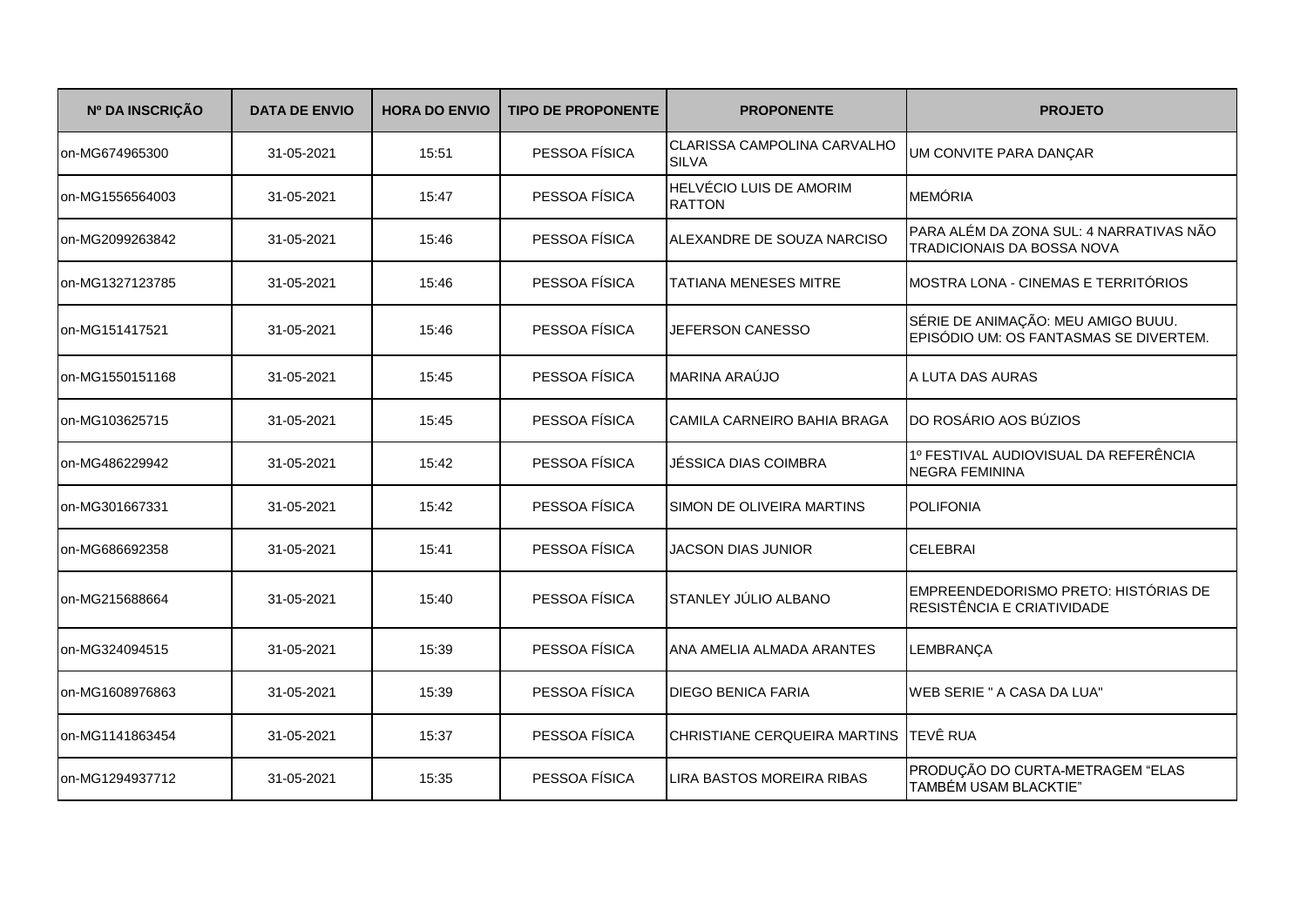| Nº DA INSCRIÇÃO | <b>DATA DE ENVIO</b> | <b>HORA DO ENVIO</b> | <b>TIPO DE PROPONENTE</b> | <b>PROPONENTE</b>                                  | <b>PROJETO</b>                                                               |
|-----------------|----------------------|----------------------|---------------------------|----------------------------------------------------|------------------------------------------------------------------------------|
| on-MG674965300  | 31-05-2021           | 15:51                | PESSOA FÍSICA             | <b>CLARISSA CAMPOLINA CARVALHO</b><br><b>SILVA</b> | UM CONVITE PARA DANÇAR                                                       |
| on-MG1556564003 | 31-05-2021           | 15:47                | PESSOA FÍSICA             | HELVÉCIO LUIS DE AMORIM<br><b>RATTON</b>           | <b>MEMÓRIA</b>                                                               |
| on-MG2099263842 | 31-05-2021           | 15:46                | PESSOA FÍSICA             | ALEXANDRE DE SOUZA NARCISO                         | PARA ALÉM DA ZONA SUL: 4 NARRATIVAS NÃO<br>TRADICIONAIS DA BOSSA NOVA        |
| on-MG1327123785 | 31-05-2021           | 15:46                | PESSOA FÍSICA             | <b>TATIANA MENESES MITRE</b>                       | MOSTRA LONA - CINEMAS E TERRITÓRIOS                                          |
| on-MG151417521  | 31-05-2021           | 15:46                | PESSOA FÍSICA             | JEFERSON CANESSO                                   | SÉRIE DE ANIMAÇÃO: MEU AMIGO BUUU.<br>EPISÓDIO UM: OS FANTASMAS SE DIVERTEM. |
| on-MG1550151168 | 31-05-2021           | 15:45                | PESSOA FÍSICA             | MARINA ARAÚJO                                      | A LUTA DAS AURAS                                                             |
| on-MG103625715  | 31-05-2021           | 15:45                | PESSOA FÍSICA             | CAMILA CARNEIRO BAHIA BRAGA                        | DO ROSÁRIO AOS BÚZIOS                                                        |
| on-MG486229942  | 31-05-2021           | 15:42                | PESSOA FÍSICA             | JÉSSICA DIAS COIMBRA                               | 1º FESTIVAL AUDIOVISUAL DA REFERÊNCIA<br><b>NEGRA FEMININA</b>               |
| on-MG301667331  | 31-05-2021           | 15:42                | PESSOA FÍSICA             | SIMON DE OLIVEIRA MARTINS                          | <b>POLIFONIA</b>                                                             |
| on-MG686692358  | 31-05-2021           | 15:41                | PESSOA FÍSICA             | <b>JACSON DIAS JUNIOR</b>                          | <b>CELEBRAI</b>                                                              |
| on-MG215688664  | 31-05-2021           | 15:40                | PESSOA FÍSICA             | STANLEY JÚLIO ALBANO                               | EMPREENDEDORISMO PRETO: HISTÓRIAS DE<br>RESISTÊNCIA E CRIATIVIDADE           |
| on-MG324094515  | 31-05-2021           | 15:39                | PESSOA FÍSICA             | ANA AMELIA ALMADA ARANTES                          | LEMBRANÇA                                                                    |
| on-MG1608976863 | 31-05-2021           | 15:39                | PESSOA FÍSICA             | <b>DIEGO BENICA FARIA</b>                          | <b>WEB SERIE " A CASA DA LUA"</b>                                            |
| on-MG1141863454 | 31-05-2021           | 15:37                | PESSOA FÍSICA             | CHRISTIANE CERQUEIRA MARTINS TEVÊ RUA              |                                                                              |
| on-MG1294937712 | 31-05-2021           | 15:35                | PESSOA FÍSICA             | LIRA BASTOS MOREIRA RIBAS                          | PRODUÇÃO DO CURTA-METRAGEM "ELAS<br>TAMBÉM USAM BLACKTIE"                    |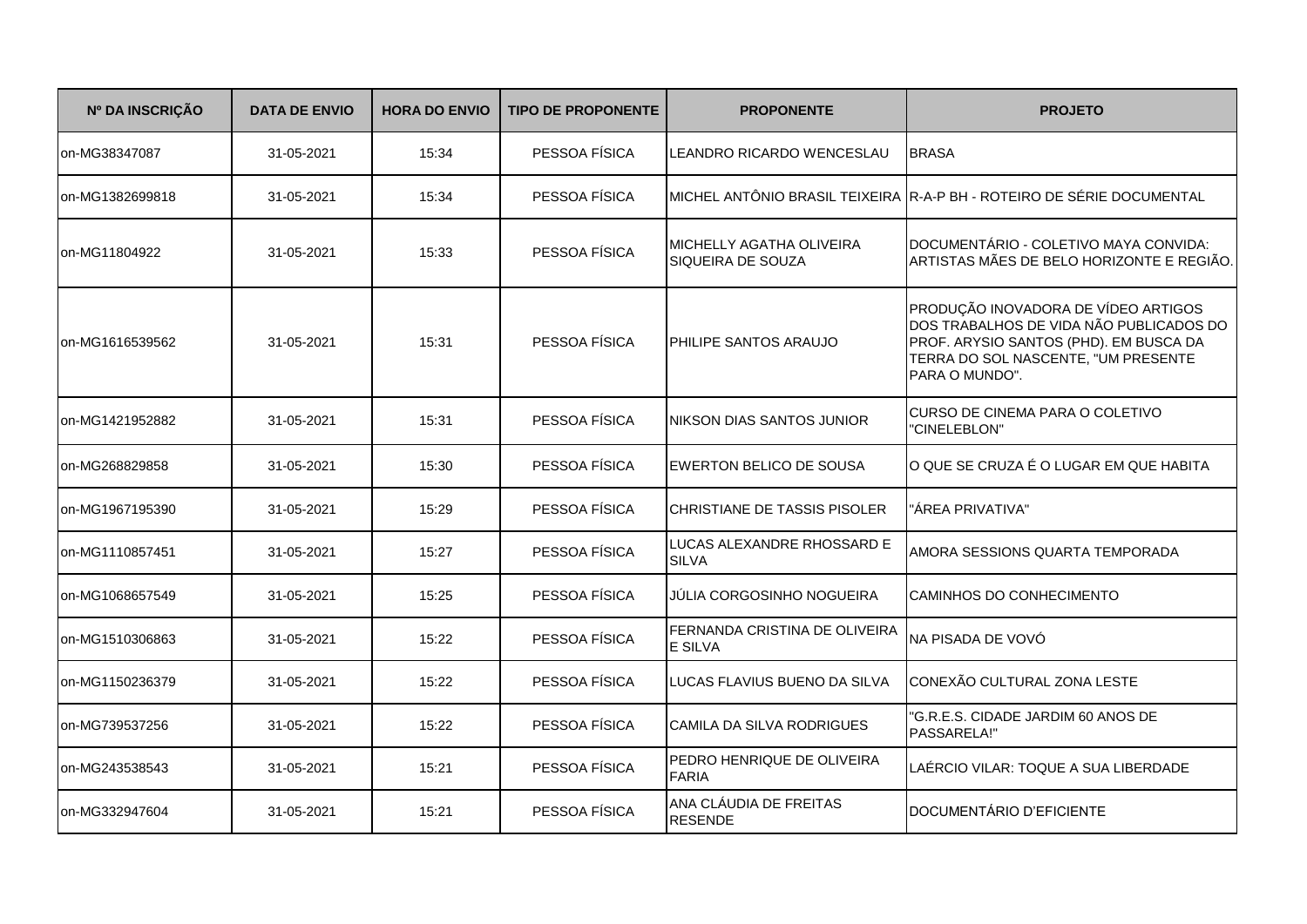| Nº DA INSCRIÇÃO | <b>DATA DE ENVIO</b> | <b>HORA DO ENVIO</b> | <b>TIPO DE PROPONENTE</b> | <b>PROPONENTE</b>                               | <b>PROJETO</b>                                                                                                                                                                    |
|-----------------|----------------------|----------------------|---------------------------|-------------------------------------------------|-----------------------------------------------------------------------------------------------------------------------------------------------------------------------------------|
| on-MG38347087   | 31-05-2021           | 15:34                | PESSOA FÍSICA             | LEANDRO RICARDO WENCESLAU                       | <b>BRASA</b>                                                                                                                                                                      |
| on-MG1382699818 | 31-05-2021           | 15:34                | PESSOA FÍSICA             |                                                 | MICHEL ANTÔNIO BRASIL TEIXEIRA R-A-P BH - ROTEIRO DE SÉRIE DOCUMENTAL                                                                                                             |
| on-MG11804922   | 31-05-2021           | 15:33                | PESSOA FÍSICA             | MICHELLY AGATHA OLIVEIRA<br>SIQUEIRA DE SOUZA   | DOCUMENTÁRIO - COLETIVO MAYA CONVIDA:<br>ARTISTAS MÃES DE BELO HORIZONTE E REGIÃO.                                                                                                |
| on-MG1616539562 | 31-05-2021           | 15:31                | PESSOA FÍSICA             | PHILIPE SANTOS ARAUJO                           | PRODUÇÃO INOVADORA DE VÍDEO ARTIGOS<br>DOS TRABALHOS DE VIDA NÃO PUBLICADOS DO<br>PROF. ARYSIO SANTOS (PHD). EM BUSCA DA<br>TERRA DO SOL NASCENTE, "UM PRESENTE<br>PARA O MUNDO". |
| on-MG1421952882 | 31-05-2021           | 15:31                | PESSOA FÍSICA             | NIKSON DIAS SANTOS JUNIOR                       | CURSO DE CINEMA PARA O COLETIVO<br>"CINELEBLON"                                                                                                                                   |
| on-MG268829858  | 31-05-2021           | 15:30                | PESSOA FÍSICA             | <b>EWERTON BELICO DE SOUSA</b>                  | O QUE SE CRUZA É O LUGAR EM QUE HABITA                                                                                                                                            |
| on-MG1967195390 | 31-05-2021           | 15:29                | PESSOA FÍSICA             | CHRISTIANE DE TASSIS PISOLER                    | "ÁREA PRIVATIVA"                                                                                                                                                                  |
| on-MG1110857451 | 31-05-2021           | 15:27                | PESSOA FÍSICA             | LUCAS ALEXANDRE RHOSSARD E<br><b>SILVA</b>      | AMORA SESSIONS QUARTA TEMPORADA                                                                                                                                                   |
| on-MG1068657549 | 31-05-2021           | 15:25                | PESSOA FÍSICA             | JÚLIA CORGOSINHO NOGUEIRA                       | CAMINHOS DO CONHECIMENTO                                                                                                                                                          |
| on-MG1510306863 | 31-05-2021           | 15:22                | PESSOA FÍSICA             | FERNANDA CRISTINA DE OLIVEIRA<br><b>E SILVA</b> | NA PISADA DE VOVÓ                                                                                                                                                                 |
| on-MG1150236379 | 31-05-2021           | 15:22                | PESSOA FÍSICA             | LUCAS FLAVIUS BUENO DA SILVA                    | CONEXÃO CULTURAL ZONA LESTE                                                                                                                                                       |
| on-MG739537256  | 31-05-2021           | 15:22                | PESSOA FÍSICA             | CAMILA DA SILVA RODRIGUES                       | "G.R.E.S. CIDADE JARDIM 60 ANOS DE<br>PASSARELA!"                                                                                                                                 |
| on-MG243538543  | 31-05-2021           | 15:21                | PESSOA FÍSICA             | PEDRO HENRIQUE DE OLIVEIRA<br><b>FARIA</b>      | LAÉRCIO VILAR: TOQUE A SUA LIBERDADE                                                                                                                                              |
| on-MG332947604  | 31-05-2021           | 15:21                | PESSOA FÍSICA             | ANA CLÁUDIA DE FREITAS<br><b>RESENDE</b>        | DOCUMENTÁRIO D'EFICIENTE                                                                                                                                                          |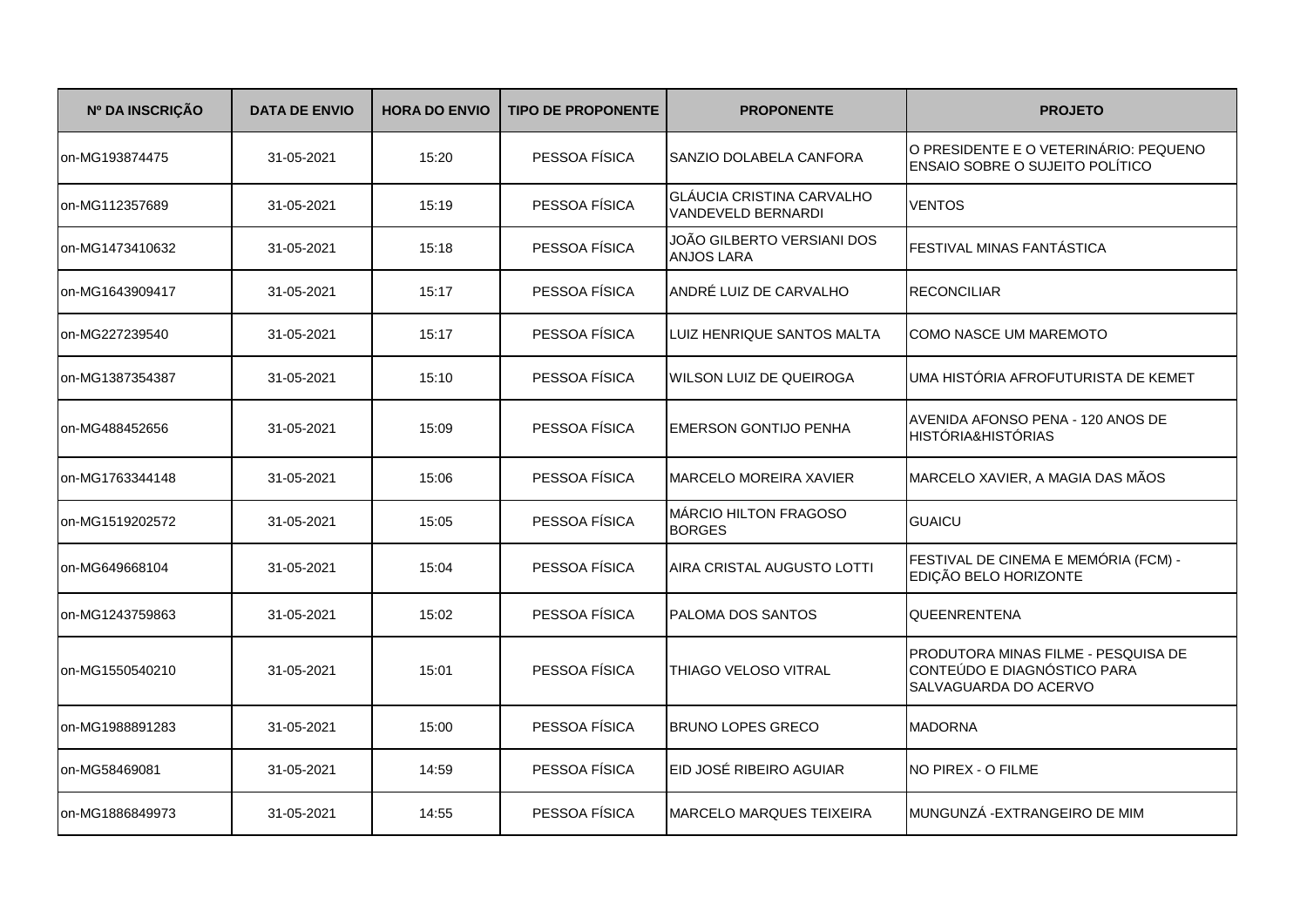| Nº DA INSCRIÇÃO | <b>DATA DE ENVIO</b> | <b>HORA DO ENVIO</b> | <b>TIPO DE PROPONENTE</b> | <b>PROPONENTE</b>                                      | <b>PROJETO</b>                                                                              |
|-----------------|----------------------|----------------------|---------------------------|--------------------------------------------------------|---------------------------------------------------------------------------------------------|
| on-MG193874475  | 31-05-2021           | 15:20                | PESSOA FÍSICA             | SANZIO DOLABELA CANFORA                                | O PRESIDENTE E O VETERINÁRIO: PEQUENO<br>ENSAIO SOBRE O SUJEITO POLÍTICO                    |
| on-MG112357689  | 31-05-2021           | 15:19                | PESSOA FÍSICA             | <b>GLÁUCIA CRISTINA CARVALHO</b><br>VANDEVELD BERNARDI | <b>VENTOS</b>                                                                               |
| on-MG1473410632 | 31-05-2021           | 15:18                | PESSOA FÍSICA             | JOÃO GILBERTO VERSIANI DOS<br><b>ANJOS LARA</b>        | FESTIVAL MINAS FANTÁSTICA                                                                   |
| on-MG1643909417 | 31-05-2021           | 15:17                | PESSOA FÍSICA             | ANDRÉ LUIZ DE CARVALHO                                 | <b>RECONCILIAR</b>                                                                          |
| on-MG227239540  | 31-05-2021           | 15:17                | PESSOA FÍSICA             | LUIZ HENRIQUE SANTOS MALTA                             | <b>COMO NASCE UM MAREMOTO</b>                                                               |
| on-MG1387354387 | 31-05-2021           | 15:10                | PESSOA FÍSICA             | WILSON LUIZ DE QUEIROGA                                | UMA HISTÓRIA AFROFUTURISTA DE KEMET                                                         |
| on-MG488452656  | 31-05-2021           | 15:09                | PESSOA FÍSICA             | EMERSON GONTIJO PENHA                                  | AVENIDA AFONSO PENA - 120 ANOS DE<br><b>HISTÓRIA&amp;HISTÓRIAS</b>                          |
| on-MG1763344148 | 31-05-2021           | 15:06                | PESSOA FÍSICA             | <b>MARCELO MOREIRA XAVIER</b>                          | MARCELO XAVIER, A MAGIA DAS MÃOS                                                            |
| on-MG1519202572 | 31-05-2021           | 15:05                | PESSOA FÍSICA             | MÁRCIO HILTON FRAGOSO<br><b>BORGES</b>                 | <b>GUAICU</b>                                                                               |
| on-MG649668104  | 31-05-2021           | 15:04                | PESSOA FÍSICA             | AIRA CRISTAL AUGUSTO LOTTI                             | FESTIVAL DE CINEMA E MEMÓRIA (FCM) -<br>EDIÇÃO BELO HORIZONTE                               |
| on-MG1243759863 | 31-05-2021           | 15:02                | PESSOA FÍSICA             | PALOMA DOS SANTOS                                      | QUEENRENTENA                                                                                |
| on-MG1550540210 | 31-05-2021           | 15:01                | PESSOA FÍSICA             | THIAGO VELOSO VITRAL                                   | PRODUTORA MINAS FILME - PESQUISA DE<br>CONTEÚDO E DIAGNÓSTICO PARA<br>SALVAGUARDA DO ACERVO |
| on-MG1988891283 | 31-05-2021           | 15:00                | PESSOA FÍSICA             | <b>BRUNO LOPES GRECO</b>                               | <b>MADORNA</b>                                                                              |
| on-MG58469081   | 31-05-2021           | 14:59                | PESSOA FÍSICA             | EID JOSÉ RIBEIRO AGUIAR                                | NO PIREX - O FILME                                                                          |
| on-MG1886849973 | 31-05-2021           | 14:55                | PESSOA FÍSICA             | MARCELO MARQUES TEIXEIRA                               | MUNGUNZÁ - EXTRANGEIRO DE MIM                                                               |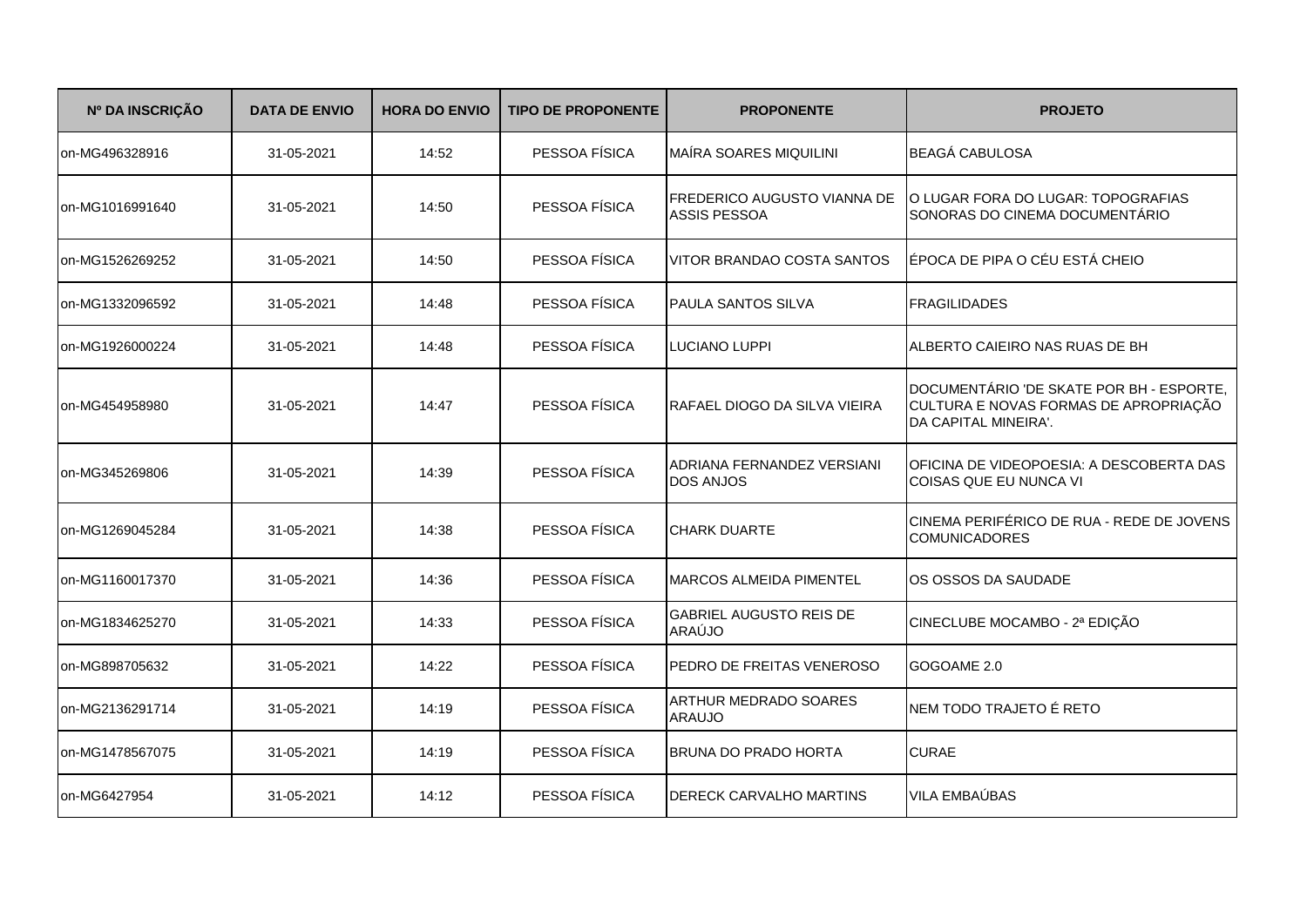| Nº DA INSCRIÇÃO | <b>DATA DE ENVIO</b> | <b>HORA DO ENVIO</b> | <b>TIPO DE PROPONENTE</b> | <b>PROPONENTE</b>                              | <b>PROJETO</b>                                                                                            |
|-----------------|----------------------|----------------------|---------------------------|------------------------------------------------|-----------------------------------------------------------------------------------------------------------|
| on-MG496328916  | 31-05-2021           | 14:52                | PESSOA FÍSICA             | MAÍRA SOARES MIQUILINI                         | <b>BEAGÁ CABULOSA</b>                                                                                     |
| on-MG1016991640 | 31-05-2021           | 14:50                | PESSOA FÍSICA             | FREDERICO AUGUSTO VIANNA DE<br>ASSIS PESSOA    | O LUGAR FORA DO LUGAR: TOPOGRAFIAS<br>SONORAS DO CINEMA DOCUMENTÁRIO                                      |
| on-MG1526269252 | 31-05-2021           | 14:50                | PESSOA FÍSICA             | VITOR BRANDAO COSTA SANTOS                     | ÉPOCA DE PIPA O CÉU ESTÁ CHEIO                                                                            |
| on-MG1332096592 | 31-05-2021           | 14:48                | PESSOA FÍSICA             | <b>PAULA SANTOS SILVA</b>                      | <b>FRAGILIDADES</b>                                                                                       |
| on-MG1926000224 | 31-05-2021           | 14:48                | PESSOA FÍSICA             | <b>LUCIANO LUPPI</b>                           | ALBERTO CAIEIRO NAS RUAS DE BH                                                                            |
| on-MG454958980  | 31-05-2021           | 14:47                | PESSOA FÍSICA             | IRAFAEL DIOGO DA SILVA VIEIRA                  | DOCUMENTÁRIO 'DE SKATE POR BH - ESPORTE,<br>CULTURA E NOVAS FORMAS DE APROPRIAÇÃO<br>DA CAPITAL MINEIRA'. |
| on-MG345269806  | 31-05-2021           | 14:39                | PESSOA FÍSICA             | ADRIANA FERNANDEZ VERSIANI<br><b>DOS ANJOS</b> | OFICINA DE VIDEOPOESIA: A DESCOBERTA DAS<br>COISAS QUE EU NUNCA VI                                        |
| on-MG1269045284 | 31-05-2021           | 14:38                | PESSOA FÍSICA             | <b>CHARK DUARTE</b>                            | CINEMA PERIFÉRICO DE RUA - REDE DE JOVENS<br><b>COMUNICADORES</b>                                         |
| on-MG1160017370 | 31-05-2021           | 14:36                | PESSOA FÍSICA             | <b>MARCOS ALMEIDA PIMENTEL</b>                 | OS OSSOS DA SAUDADE                                                                                       |
| on-MG1834625270 | 31-05-2021           | 14:33                | PESSOA FÍSICA             | <b>GABRIEL AUGUSTO REIS DE</b><br>ARAÚJO       | CINECLUBE MOCAMBO - 2ª EDIÇÃO                                                                             |
| on-MG898705632  | 31-05-2021           | 14:22                | PESSOA FÍSICA             | PEDRO DE FREITAS VENEROSO                      | GOGOAME 2.0                                                                                               |
| on-MG2136291714 | 31-05-2021           | 14:19                | PESSOA FÍSICA             | ARTHUR MEDRADO SOARES<br><b>ARAUJO</b>         | NEM TODO TRAJETO É RETO                                                                                   |
| on-MG1478567075 | 31-05-2021           | 14:19                | PESSOA FÍSICA             | <b>BRUNA DO PRADO HORTA</b>                    | <b>CURAE</b>                                                                                              |
| on-MG6427954    | 31-05-2021           | 14:12                | PESSOA FÍSICA             | <b>DERECK CARVALHO MARTINS</b>                 | <b>VILA EMBAÚBAS</b>                                                                                      |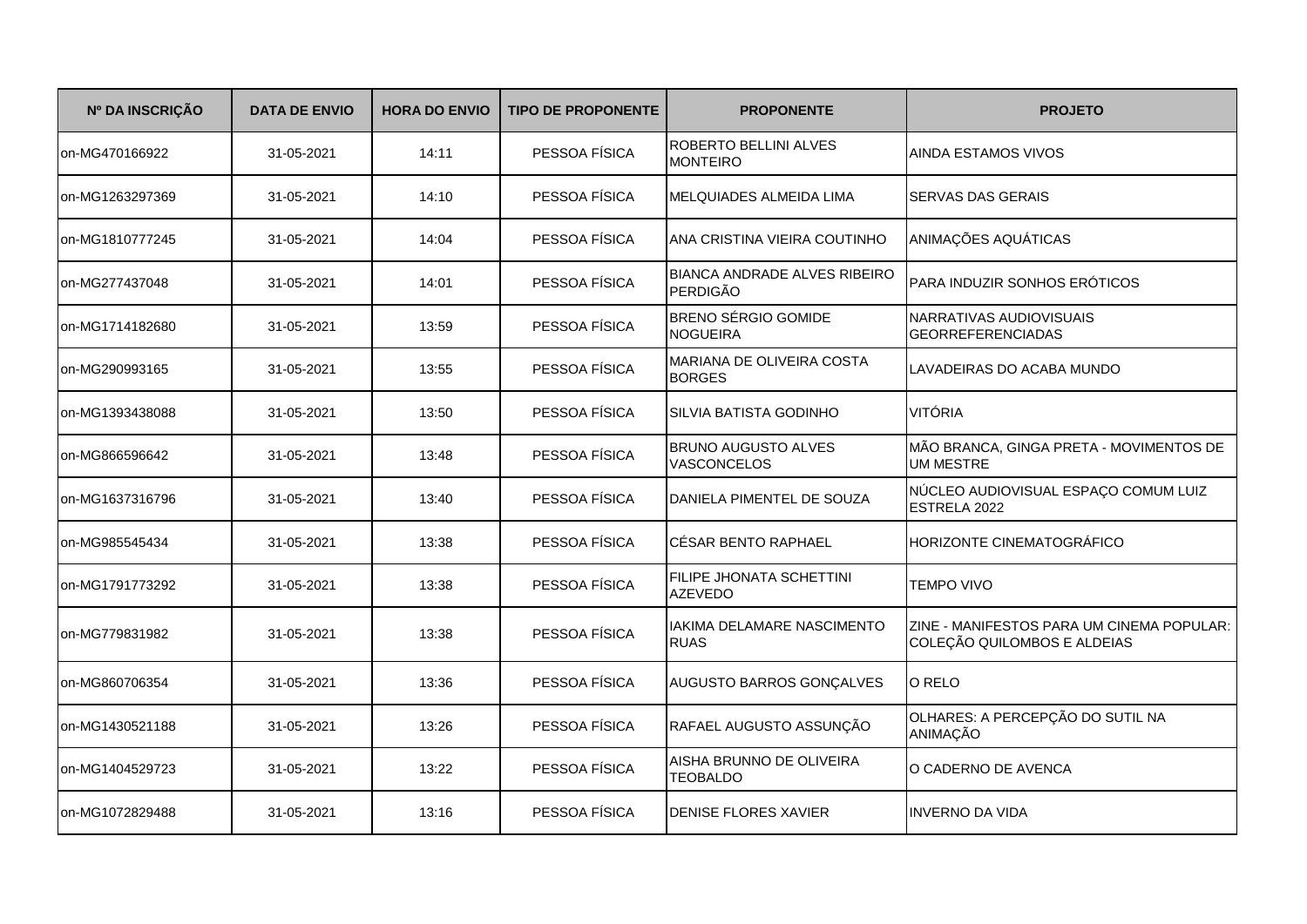| Nº DA INSCRIÇÃO | <b>DATA DE ENVIO</b> | <b>HORA DO ENVIO</b> | <b>TIPO DE PROPONENTE</b> | <b>PROPONENTE</b>                                      | <b>PROJETO</b>                                                           |
|-----------------|----------------------|----------------------|---------------------------|--------------------------------------------------------|--------------------------------------------------------------------------|
| on-MG470166922  | 31-05-2021           | 14:11                | PESSOA FÍSICA             | ROBERTO BELLINI ALVES<br><b>MONTEIRO</b>               | AINDA ESTAMOS VIVOS                                                      |
| on-MG1263297369 | 31-05-2021           | 14:10                | PESSOA FÍSICA             | MELQUIADES ALMEIDA LIMA                                | <b>SERVAS DAS GERAIS</b>                                                 |
| on-MG1810777245 | 31-05-2021           | 14:04                | PESSOA FÍSICA             | ANA CRISTINA VIEIRA COUTINHO                           | ANIMAÇÕES AQUÁTICAS                                                      |
| on-MG277437048  | 31-05-2021           | 14:01                | PESSOA FÍSICA             | <b>BIANCA ANDRADE ALVES RIBEIRO</b><br><b>PERDIGÃO</b> | <b>PARA INDUZIR SONHOS ERÓTICOS</b>                                      |
| on-MG1714182680 | 31-05-2021           | 13:59                | PESSOA FÍSICA             | <b>BRENO SÉRGIO GOMIDE</b><br><b>NOGUEIRA</b>          | NARRATIVAS AUDIOVISUAIS<br><b>GEORREFERENCIADAS</b>                      |
| on-MG290993165  | 31-05-2021           | 13:55                | PESSOA FÍSICA             | MARIANA DE OLIVEIRA COSTA<br><b>BORGES</b>             | LAVADEIRAS DO ACABA MUNDO                                                |
| on-MG1393438088 | 31-05-2021           | 13:50                | PESSOA FÍSICA             | SILVIA BATISTA GODINHO                                 | <b>VITÓRIA</b>                                                           |
| on-MG866596642  | 31-05-2021           | 13:48                | PESSOA FÍSICA             | <b>BRUNO AUGUSTO ALVES</b><br>VASCONCELOS              | MÃO BRANCA, GINGA PRETA - MOVIMENTOS DE<br><b>UM MESTRE</b>              |
| on-MG1637316796 | 31-05-2021           | 13:40                | PESSOA FÍSICA             | DANIELA PIMENTEL DE SOUZA                              | NÚCLEO AUDIOVISUAL ESPAÇO COMUM LUIZ<br>ESTRELA 2022                     |
| on-MG985545434  | 31-05-2021           | 13:38                | PESSOA FÍSICA             | <b>CÉSAR BENTO RAPHAEL</b>                             | HORIZONTE CINEMATOGRÁFICO                                                |
| on-MG1791773292 | 31-05-2021           | 13:38                | PESSOA FÍSICA             | FILIPE JHONATA SCHETTINI<br><b>AZEVEDO</b>             | <b>TEMPO VIVO</b>                                                        |
| on-MG779831982  | 31-05-2021           | 13:38                | PESSOA FÍSICA             | <b>IAKIMA DELAMARE NASCIMENTO</b><br><b>RUAS</b>       | ZINE - MANIFESTOS PARA UM CINEMA POPULAR:<br>COLEÇÃO QUILOMBOS E ALDEIAS |
| on-MG860706354  | 31-05-2021           | 13:36                | PESSOA FÍSICA             | AUGUSTO BARROS GONÇALVES                               | O RELO                                                                   |
| on-MG1430521188 | 31-05-2021           | 13:26                | PESSOA FÍSICA             | RAFAEL AUGUSTO ASSUNÇÃO                                | OLHARES: A PERCEPÇÃO DO SUTIL NA<br>ANIMAÇÃO                             |
| on-MG1404529723 | 31-05-2021           | 13:22                | PESSOA FÍSICA             | AISHA BRUNNO DE OLIVEIRA<br><b>TEOBALDO</b>            | O CADERNO DE AVENCA                                                      |
| on-MG1072829488 | 31-05-2021           | 13:16                | PESSOA FÍSICA             | <b>DENISE FLORES XAVIER</b>                            | <b>INVERNO DA VIDA</b>                                                   |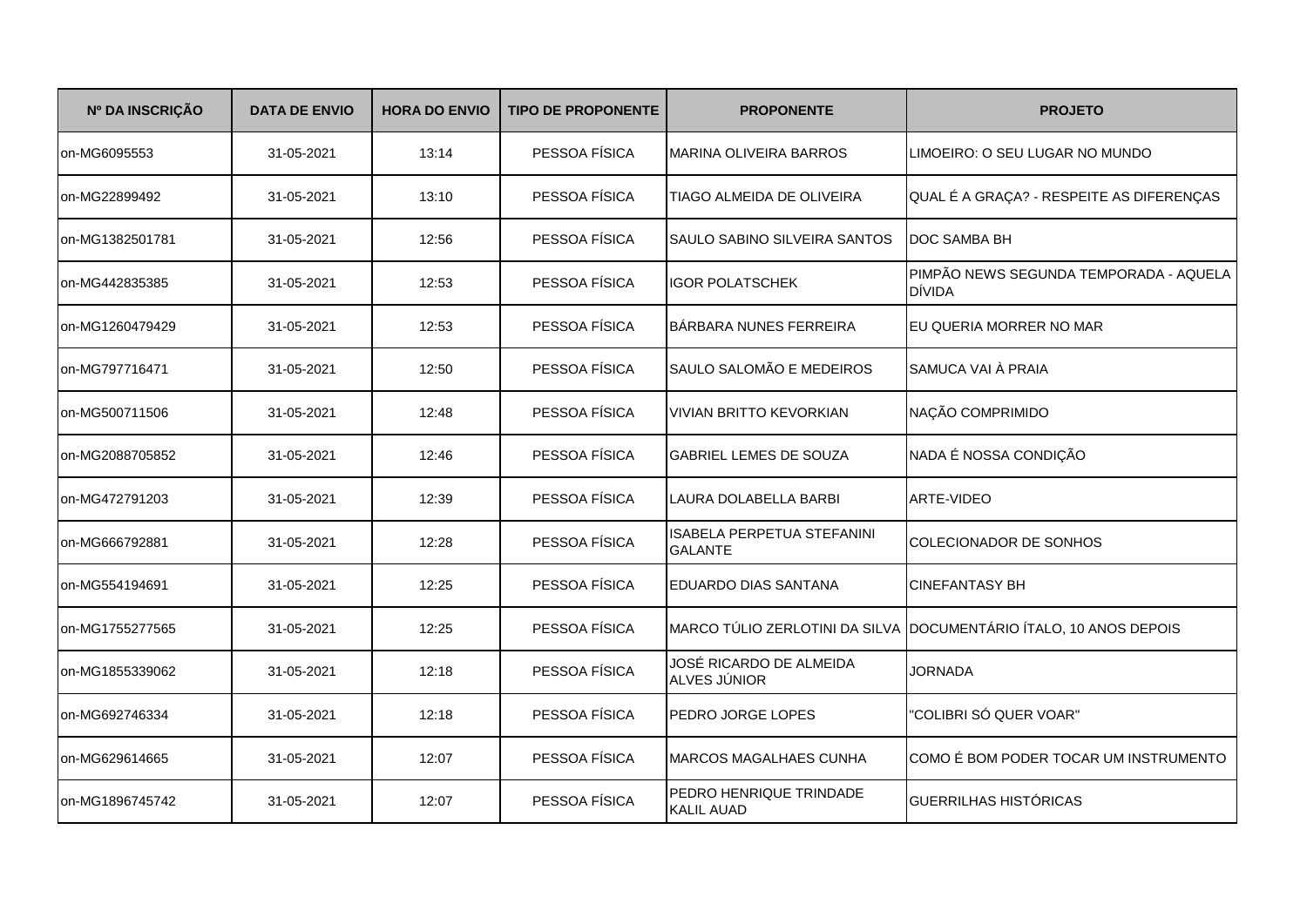| Nº DA INSCRIÇÃO | <b>DATA DE ENVIO</b> | <b>HORA DO ENVIO</b> | <b>TIPO DE PROPONENTE</b> | <b>PROPONENTE</b>                            | <b>PROJETO</b>                                                    |
|-----------------|----------------------|----------------------|---------------------------|----------------------------------------------|-------------------------------------------------------------------|
| on-MG6095553    | 31-05-2021           | 13:14                | PESSOA FÍSICA             | <b>MARINA OLIVEIRA BARROS</b>                | LIMOEIRO: O SEU LUGAR NO MUNDO                                    |
| on-MG22899492   | 31-05-2021           | 13:10                | PESSOA FÍSICA             | TIAGO ALMEIDA DE OLIVEIRA                    | QUAL É A GRAÇA? - RESPEITE AS DIFERENÇAS                          |
| on-MG1382501781 | 31-05-2021           | 12:56                | PESSOA FÍSICA             | SAULO SABINO SILVEIRA SANTOS                 | <b>IDOC SAMBA BH</b>                                              |
| on-MG442835385  | 31-05-2021           | 12:53                | PESSOA FÍSICA             | <b>IGOR POLATSCHEK</b>                       | PIMPÃO NEWS SEGUNDA TEMPORADA - AQUELA<br><b>DÍVIDA</b>           |
| on-MG1260479429 | 31-05-2021           | 12:53                | PESSOA FÍSICA             | BÁRBARA NUNES FERREIRA                       | EU QUERIA MORRER NO MAR                                           |
| on-MG797716471  | 31-05-2021           | 12:50                | PESSOA FÍSICA             | SAULO SALOMÃO E MEDEIROS                     | SAMUCA VAI À PRAIA                                                |
| on-MG500711506  | 31-05-2021           | 12:48                | PESSOA FÍSICA             | <b>VIVIAN BRITTO KEVORKIAN</b>               | NAÇÃO COMPRIMIDO                                                  |
| on-MG2088705852 | 31-05-2021           | 12:46                | PESSOA FÍSICA             | <b>GABRIEL LEMES DE SOUZA</b>                | NADA É NOSSA CONDIÇÃO                                             |
| on-MG472791203  | 31-05-2021           | 12:39                | PESSOA FÍSICA             | LAURA DOLABELLA BARBI                        | ARTE-VIDEO                                                        |
| on-MG666792881  | 31-05-2021           | 12:28                | PESSOA FÍSICA             | ISABELA PERPETUA STEFANINI<br><b>GALANTE</b> | COLECIONADOR DE SONHOS                                            |
| on-MG554194691  | 31-05-2021           | 12:25                | PESSOA FÍSICA             | EDUARDO DIAS SANTANA                         | <b>CINEFANTASY BH</b>                                             |
| on-MG1755277565 | 31-05-2021           | 12:25                | PESSOA FÍSICA             |                                              | MARCO TÚLIO ZERLOTINI DA SILVA DOCUMENTÁRIO ÍTALO, 10 ANOS DEPOIS |
| on-MG1855339062 | 31-05-2021           | 12:18                | PESSOA FÍSICA             | JOSÉ RICARDO DE ALMEIDA<br>ALVES JÚNIOR      | <b>JORNADA</b>                                                    |
| on-MG692746334  | 31-05-2021           | 12:18                | PESSOA FÍSICA             | PEDRO JORGE LOPES                            | "COLIBRI SÓ QUER VOAR"                                            |
| on-MG629614665  | 31-05-2021           | 12:07                | PESSOA FÍSICA             | <b>MARCOS MAGALHAES CUNHA</b>                | COMO É BOM PODER TOCAR UM INSTRUMENTO                             |
| on-MG1896745742 | 31-05-2021           | 12:07                | PESSOA FÍSICA             | PEDRO HENRIQUE TRINDADE<br><b>KALIL AUAD</b> | <b>GUERRILHAS HISTÓRICAS</b>                                      |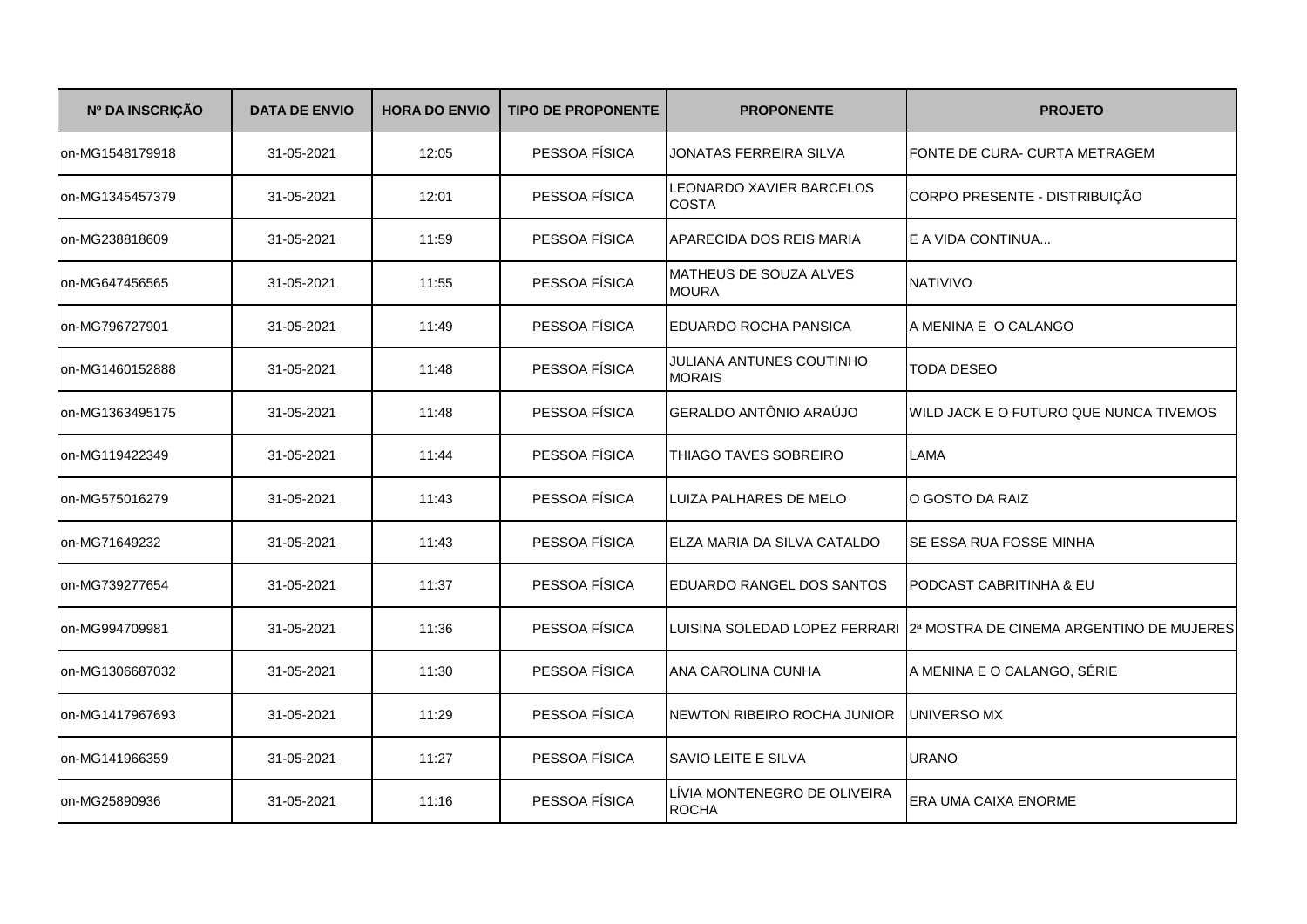| Nº DA INSCRIÇÃO | <b>DATA DE ENVIO</b> | <b>HORA DO ENVIO</b> | <b>TIPO DE PROPONENTE</b> | <b>PROPONENTE</b>                            | <b>PROJETO</b>                                                           |
|-----------------|----------------------|----------------------|---------------------------|----------------------------------------------|--------------------------------------------------------------------------|
| on-MG1548179918 | 31-05-2021           | 12:05                | PESSOA FÍSICA             | JONATAS FERREIRA SILVA                       | FONTE DE CURA- CURTA METRAGEM                                            |
| on-MG1345457379 | 31-05-2021           | 12:01                | PESSOA FÍSICA             | LEONARDO XAVIER BARCELOS<br><b>COSTA</b>     | CORPO PRESENTE - DISTRIBUIÇÃO                                            |
| on-MG238818609  | 31-05-2021           | 11:59                | PESSOA FÍSICA             | APARECIDA DOS REIS MARIA                     | E A VIDA CONTINUA                                                        |
| on-MG647456565  | 31-05-2021           | 11:55                | PESSOA FÍSICA             | MATHEUS DE SOUZA ALVES<br><b>MOURA</b>       | NATIVIVO                                                                 |
| on-MG796727901  | 31-05-2021           | 11:49                | PESSOA FÍSICA             | EDUARDO ROCHA PANSICA                        | A MENINA E O CALANGO                                                     |
| on-MG1460152888 | 31-05-2021           | 11:48                | PESSOA FÍSICA             | JULIANA ANTUNES COUTINHO<br><b>MORAIS</b>    | <b>TODA DESEO</b>                                                        |
| on-MG1363495175 | 31-05-2021           | 11:48                | PESSOA FÍSICA             | GERALDO ANTÔNIO ARAÚJO                       | WILD JACK E O FUTURO QUE NUNCA TIVEMOS                                   |
| on-MG119422349  | 31-05-2021           | 11:44                | PESSOA FÍSICA             | THIAGO TAVES SOBREIRO                        | LAMA                                                                     |
| on-MG575016279  | 31-05-2021           | 11:43                | PESSOA FÍSICA             | LUIZA PALHARES DE MELO                       | O GOSTO DA RAIZ                                                          |
| on-MG71649232   | 31-05-2021           | 11:43                | PESSOA FÍSICA             | ELZA MARIA DA SILVA CATALDO                  | SE ESSA RUA FOSSE MINHA                                                  |
| on-MG739277654  | 31-05-2021           | 11:37                | PESSOA FÍSICA             | EDUARDO RANGEL DOS SANTOS                    | PODCAST CABRITINHA & EU                                                  |
| on-MG994709981  | 31-05-2021           | 11:36                | PESSOA FÍSICA             |                                              | LUISINA SOLEDAD LOPEZ FERRARI   2ª MOSTRA DE CINEMA ARGENTINO DE MUJERES |
| on-MG1306687032 | 31-05-2021           | 11:30                | PESSOA FÍSICA             | ANA CAROLINA CUNHA                           | A MENINA E O CALANGO, SÉRIE                                              |
| on-MG1417967693 | 31-05-2021           | 11:29                | PESSOA FÍSICA             | NEWTON RIBEIRO ROCHA JUNIOR                  | <b>UNIVERSO MX</b>                                                       |
| on-MG141966359  | 31-05-2021           | 11:27                | PESSOA FÍSICA             | SAVIO LEITE E SILVA                          | <b>URANO</b>                                                             |
| on-MG25890936   | 31-05-2021           | 11:16                | PESSOA FÍSICA             | LÍVIA MONTENEGRO DE OLIVEIRA<br><b>ROCHA</b> | ERA UMA CAIXA ENORME                                                     |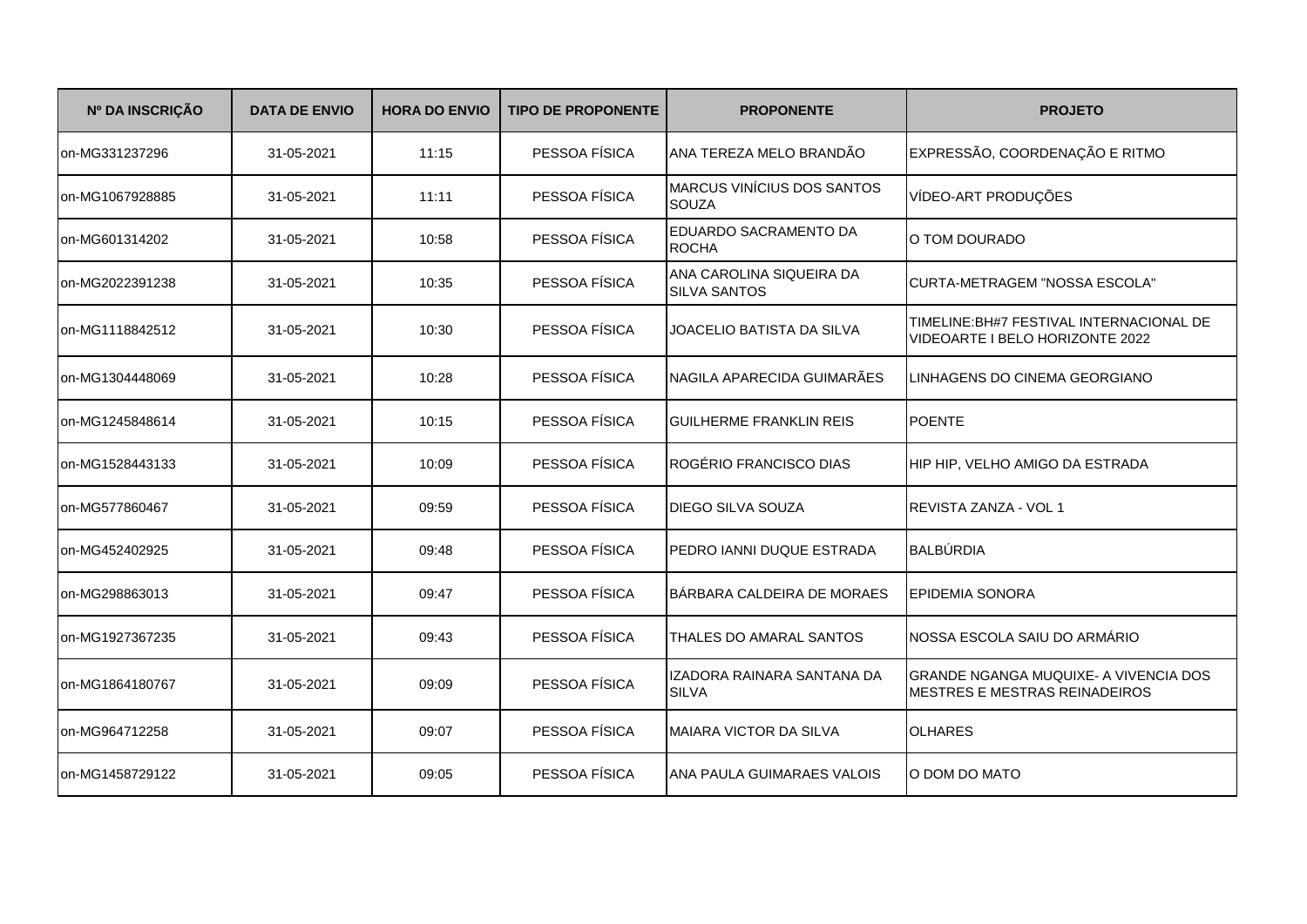| Nº DA INSCRIÇÃO | <b>DATA DE ENVIO</b> | <b>HORA DO ENVIO</b> | <b>TIPO DE PROPONENTE</b> | <b>PROPONENTE</b>                               | <b>PROJETO</b>                                                                 |
|-----------------|----------------------|----------------------|---------------------------|-------------------------------------------------|--------------------------------------------------------------------------------|
| on-MG331237296  | 31-05-2021           | 11:15                | PESSOA FÍSICA             | ANA TEREZA MELO BRANDÃO                         | EXPRESSÃO, COORDENAÇÃO E RITMO                                                 |
| on-MG1067928885 | 31-05-2021           | 11:11                | PESSOA FÍSICA             | <b>MARCUS VINÍCIUS DOS SANTOS</b><br>SOUZA      | VÍDEO-ART PRODUÇÕES                                                            |
| on-MG601314202  | 31-05-2021           | 10:58                | PESSOA FÍSICA             | EDUARDO SACRAMENTO DA<br><b>ROCHA</b>           | O TOM DOURADO                                                                  |
| on-MG2022391238 | 31-05-2021           | 10:35                | PESSOA FÍSICA             | ANA CAROLINA SIQUEIRA DA<br><b>SILVA SANTOS</b> | CURTA-METRAGEM "NOSSA ESCOLA"                                                  |
| on-MG1118842512 | 31-05-2021           | 10:30                | PESSOA FÍSICA             | JOACELIO BATISTA DA SILVA                       | TIMELINE: BH#7 FESTIVAL INTERNACIONAL DE<br>VIDEOARTE I BELO HORIZONTE 2022    |
| on-MG1304448069 | 31-05-2021           | 10:28                | PESSOA FÍSICA             | NAGILA APARECIDA GUIMARÃES                      | LINHAGENS DO CINEMA GEORGIANO                                                  |
| on-MG1245848614 | 31-05-2021           | 10:15                | PESSOA FÍSICA             | <b>GUILHERME FRANKLIN REIS</b>                  | <b>POENTE</b>                                                                  |
| on-MG1528443133 | 31-05-2021           | 10:09                | PESSOA FÍSICA             | ROGÉRIO FRANCISCO DIAS                          | HIP HIP, VELHO AMIGO DA ESTRADA                                                |
| on-MG577860467  | 31-05-2021           | 09:59                | PESSOA FÍSICA             | <b>DIEGO SILVA SOUZA</b>                        | <b>REVISTA ZANZA - VOL 1</b>                                                   |
| on-MG452402925  | 31-05-2021           | 09:48                | PESSOA FÍSICA             | PEDRO JANNI DUQUE ESTRADA                       | <b>BALBÚRDIA</b>                                                               |
| on-MG298863013  | 31-05-2021           | 09:47                | PESSOA FÍSICA             | BÁRBARA CALDEIRA DE MORAES                      | <b>EPIDEMIA SONORA</b>                                                         |
| on-MG1927367235 | 31-05-2021           | 09:43                | PESSOA FÍSICA             | THALES DO AMARAL SANTOS                         | NOSSA ESCOLA SAIU DO ARMÁRIO                                                   |
| on-MG1864180767 | 31-05-2021           | 09:09                | PESSOA FÍSICA             | IZADORA RAINARA SANTANA DA<br><b>SILVA</b>      | GRANDE NGANGA MUQUIXE- A VIVENCIA DOS<br><b>IMESTRES E MESTRAS REINADEIROS</b> |
| on-MG964712258  | 31-05-2021           | 09:07                | PESSOA FÍSICA             | <b>MAIARA VICTOR DA SILVA</b>                   | <b>OLHARES</b>                                                                 |
| on-MG1458729122 | 31-05-2021           | 09:05                | PESSOA FÍSICA             | ANA PAULA GUIMARAES VALOIS                      | O DOM DO MATO                                                                  |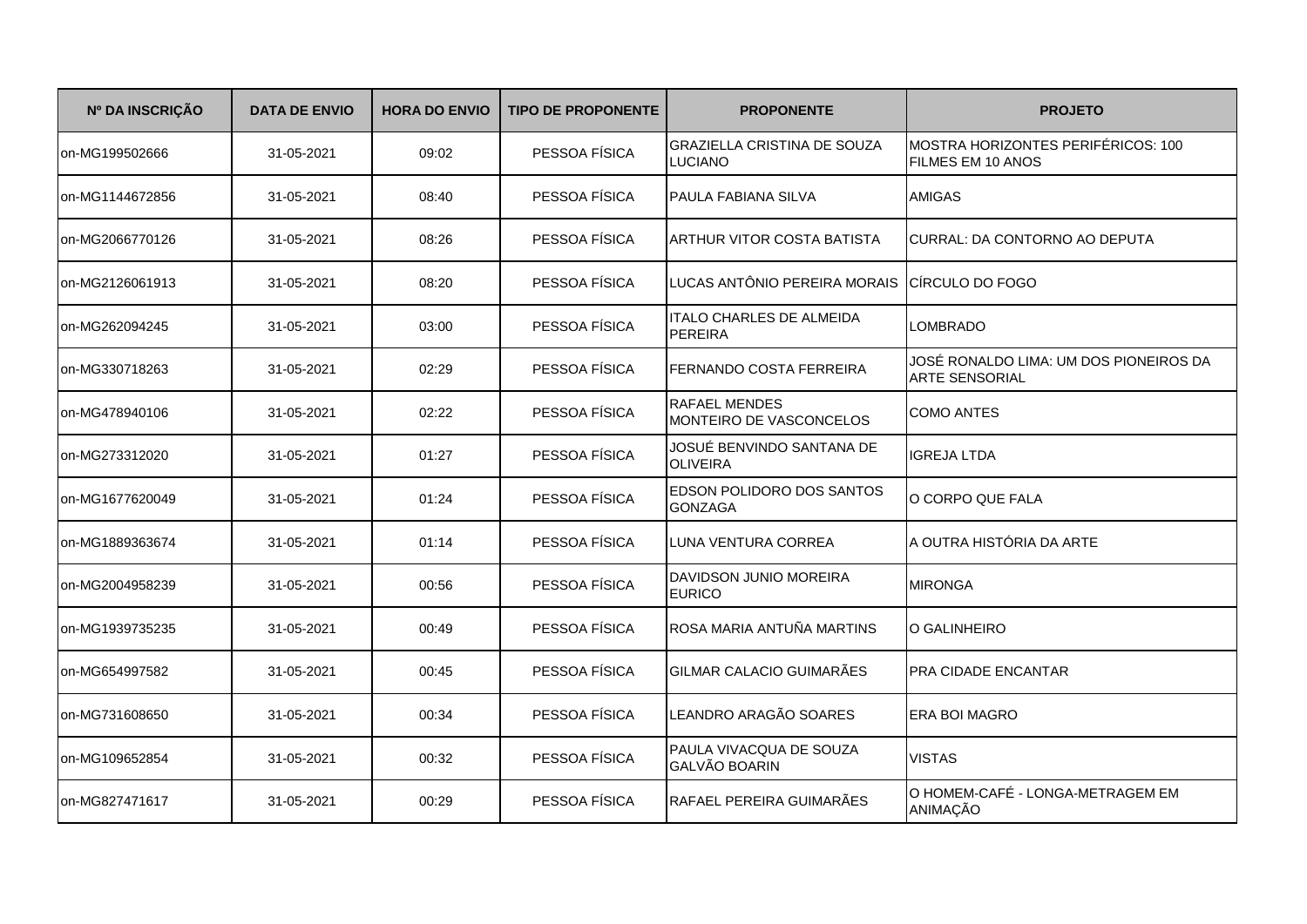| Nº DA INSCRIÇÃO | <b>DATA DE ENVIO</b> | <b>HORA DO ENVIO</b> | <b>TIPO DE PROPONENTE</b> | <b>PROPONENTE</b>                                    | <b>PROJETO</b>                                                  |
|-----------------|----------------------|----------------------|---------------------------|------------------------------------------------------|-----------------------------------------------------------------|
| on-MG199502666  | 31-05-2021           | 09:02                | PESSOA FÍSICA             | <b>GRAZIELLA CRISTINA DE SOUZA</b><br><b>LUCIANO</b> | MOSTRA HORIZONTES PERIFÉRICOS: 100<br>FILMES EM 10 ANOS         |
| on-MG1144672856 | 31-05-2021           | 08:40                | PESSOA FÍSICA             | PAULA FABIANA SILVA                                  | <b>AMIGAS</b>                                                   |
| on-MG2066770126 | 31-05-2021           | 08:26                | PESSOA FÍSICA             | ARTHUR VITOR COSTA BATISTA                           | CURRAL: DA CONTORNO AO DEPUTA                                   |
| on-MG2126061913 | 31-05-2021           | 08:20                | PESSOA FÍSICA             | LUCAS ANTÔNIO PEREIRA MORAIS                         | ICIRCULO DO FOGO                                                |
| on-MG262094245  | 31-05-2021           | 03:00                | PESSOA FÍSICA             | <b>ITALO CHARLES DE ALMEIDA</b><br><b>PEREIRA</b>    | <b>LOMBRADO</b>                                                 |
| on-MG330718263  | 31-05-2021           | 02:29                | PESSOA FÍSICA             | FERNANDO COSTA FERREIRA                              | JOSÉ RONALDO LIMA: UM DOS PIONEIROS DA<br><b>ARTE SENSORIAL</b> |
| on-MG478940106  | 31-05-2021           | 02:22                | PESSOA FÍSICA             | <b>RAFAEL MENDES</b><br>MONTEIRO DE VASCONCELOS      | <b>COMO ANTES</b>                                               |
| on-MG273312020  | 31-05-2021           | 01:27                | PESSOA FÍSICA             | JOSUÉ BENVINDO SANTANA DE<br><b>OLIVEIRA</b>         | <b>IGREJA LTDA</b>                                              |
| on-MG1677620049 | 31-05-2021           | 01:24                | PESSOA FÍSICA             | EDSON POLIDORO DOS SANTOS<br><b>GONZAGA</b>          | O CORPO QUE FALA                                                |
| on-MG1889363674 | 31-05-2021           | 01:14                | PESSOA FÍSICA             | LUNA VENTURA CORREA                                  | A OUTRA HISTÓRIA DA ARTE                                        |
| on-MG2004958239 | 31-05-2021           | 00:56                | PESSOA FÍSICA             | DAVIDSON JUNIO MOREIRA<br><b>EURICO</b>              | <b>MIRONGA</b>                                                  |
| on-MG1939735235 | 31-05-2021           | 00:49                | PESSOA FÍSICA             | ROSA MARIA ANTUÑA MARTINS                            | O GALINHEIRO                                                    |
| on-MG654997582  | 31-05-2021           | 00:45                | PESSOA FÍSICA             | GILMAR CALACIO GUIMARÃES                             | PRA CIDADE ENCANTAR                                             |
| on-MG731608650  | 31-05-2021           | 00:34                | PESSOA FÍSICA             | LEANDRO ARAGÃO SOARES                                | <b>ERA BOI MAGRO</b>                                            |
| on-MG109652854  | 31-05-2021           | 00:32                | PESSOA FÍSICA             | PAULA VIVACQUA DE SOUZA<br><b>GALVÃO BOARIN</b>      | <b>VISTAS</b>                                                   |
| Ion-MG827471617 | 31-05-2021           | 00:29                | PESSOA FÍSICA             | RAFAEL PEREIRA GUIMARÃES                             | O HOMEM-CAFÉ - LONGA-METRAGEM EM<br>ANIMAÇÃO                    |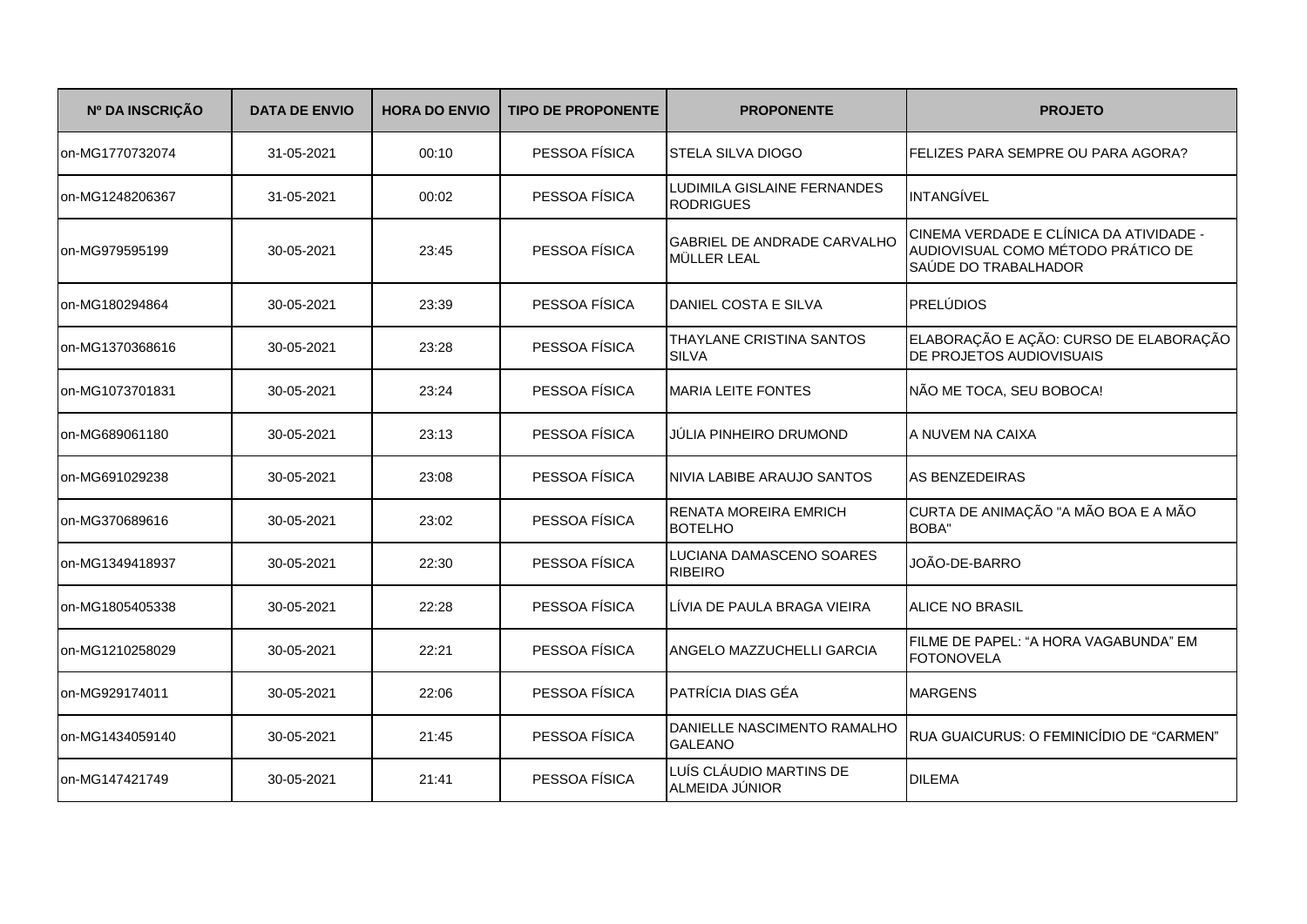| Nº DA INSCRIÇÃO | <b>DATA DE ENVIO</b> | <b>HORA DO ENVIO</b> | <b>TIPO DE PROPONENTE</b> | <b>PROPONENTE</b>                                 | <b>PROJETO</b>                                                                                        |
|-----------------|----------------------|----------------------|---------------------------|---------------------------------------------------|-------------------------------------------------------------------------------------------------------|
| on-MG1770732074 | 31-05-2021           | 00:10                | PESSOA FÍSICA             | <b>STELA SILVA DIOGO</b>                          | FELIZES PARA SEMPRE OU PARA AGORA?                                                                    |
| on-MG1248206367 | 31-05-2021           | 00:02                | PESSOA FÍSICA             | LUDIMILA GISLAINE FERNANDES<br><b>RODRIGUES</b>   | INTANGÍVEL                                                                                            |
| on-MG979595199  | 30-05-2021           | 23:45                | PESSOA FÍSICA             | <b>GABRIEL DE ANDRADE CARVALHO</b><br>MÜLLER LEAL | CINEMA VERDADE E CLÍNICA DA ATIVIDADE -<br>AUDIOVISUAL COMO MÉTODO PRÁTICO DE<br>SAÚDE DO TRABALHADOR |
| on-MG180294864  | 30-05-2021           | 23:39                | PESSOA FÍSICA             | DANIEL COSTA E SILVA                              | <b>PRELÚDIOS</b>                                                                                      |
| on-MG1370368616 | 30-05-2021           | 23:28                | PESSOA FÍSICA             | THAYLANE CRISTINA SANTOS<br><b>SILVA</b>          | ELABORAÇÃO E AÇÃO: CURSO DE ELABORAÇÃO<br>DE PROJETOS AUDIOVISUAIS                                    |
| on-MG1073701831 | 30-05-2021           | 23:24                | PESSOA FÍSICA             | <b>MARIA LEITE FONTES</b>                         | NÃO ME TOCA, SEU BOBOCA!                                                                              |
| on-MG689061180  | 30-05-2021           | 23:13                | PESSOA FÍSICA             | JÚLIA PINHEIRO DRUMOND                            | A NUVEM NA CAIXA                                                                                      |
| on-MG691029238  | 30-05-2021           | 23:08                | PESSOA FÍSICA             | NIVIA LABIBE ARAUJO SANTOS                        | <b>AS BENZEDEIRAS</b>                                                                                 |
| on-MG370689616  | 30-05-2021           | 23:02                | PESSOA FÍSICA             | RENATA MOREIRA EMRICH<br><b>BOTELHO</b>           | CURTA DE ANIMAÇÃO "A MÃO BOA E A MÃO<br>BOBA"                                                         |
| on-MG1349418937 | 30-05-2021           | 22:30                | PESSOA FÍSICA             | LUCIANA DAMASCENO SOARES<br><b>RIBEIRO</b>        | JOÃO-DE-BARRO                                                                                         |
| on-MG1805405338 | 30-05-2021           | 22:28                | PESSOA FÍSICA             | LÍVIA DE PAULA BRAGA VIEIRA                       | <b>ALICE NO BRASIL</b>                                                                                |
| on-MG1210258029 | 30-05-2021           | 22:21                | PESSOA FÍSICA             | ANGELO MAZZUCHELLI GARCIA                         | FILME DE PAPEL: "A HORA VAGABUNDA" EM<br><b>FOTONOVELA</b>                                            |
| on-MG929174011  | 30-05-2021           | 22:06                | PESSOA FÍSICA             | PATRÍCIA DIAS GÉA                                 | <b>MARGENS</b>                                                                                        |
| on-MG1434059140 | 30-05-2021           | 21:45                | PESSOA FÍSICA             | DANIELLE NASCIMENTO RAMALHO<br><b>GALEANO</b>     | RUA GUAICURUS: O FEMINICÍDIO DE "CARMEN"                                                              |
| on-MG147421749  | 30-05-2021           | 21:41                | PESSOA FÍSICA             | LUÍS CLÁUDIO MARTINS DE<br>ALMEIDA JÚNIOR         | <b>DILEMA</b>                                                                                         |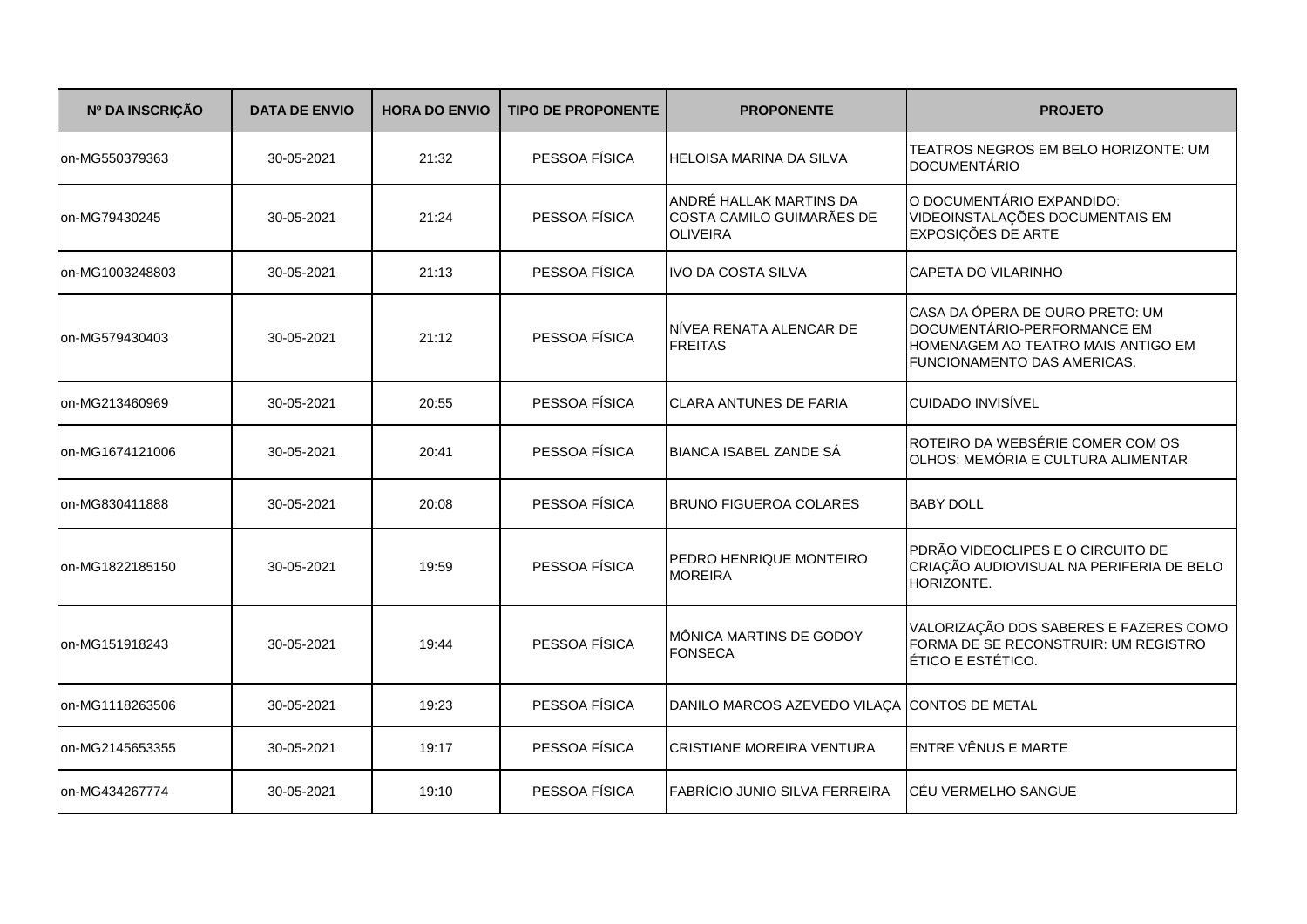| Nº DA INSCRIÇÃO | <b>DATA DE ENVIO</b> | <b>HORA DO ENVIO</b> | <b>TIPO DE PROPONENTE</b> | <b>PROPONENTE</b>                                                       | <b>PROJETO</b>                                                                                                                      |
|-----------------|----------------------|----------------------|---------------------------|-------------------------------------------------------------------------|-------------------------------------------------------------------------------------------------------------------------------------|
| on-MG550379363  | 30-05-2021           | 21:32                | PESSOA FÍSICA             | <b>HELOISA MARINA DA SILVA</b>                                          | TEATROS NEGROS EM BELO HORIZONTE: UM<br><b>DOCUMENTÁRIO</b>                                                                         |
| on-MG79430245   | 30-05-2021           | 21:24                | PESSOA FÍSICA             | ANDRÉ HALLAK MARTINS DA<br>COSTA CAMILO GUIMARÃES DE<br><b>OLIVEIRA</b> | O DOCUMENTÁRIO EXPANDIDO:<br>VIDEOINSTALAÇÕES DOCUMENTAIS EM<br>EXPOSIÇÕES DE ARTE                                                  |
| on-MG1003248803 | 30-05-2021           | 21:13                | PESSOA FÍSICA             | <b>IVO DA COSTA SILVA</b>                                               | CAPETA DO VILARINHO                                                                                                                 |
| on-MG579430403  | 30-05-2021           | 21:12                | PESSOA FÍSICA             | NÍVEA RENATA ALENCAR DE<br><b>FREITAS</b>                               | CASA DA ÓPERA DE OURO PRETO: UM<br>DOCUMENTÁRIO-PERFORMANCE EM<br>HOMENAGEM AO TEATRO MAIS ANTIGO EM<br>FUNCIONAMENTO DAS AMERICAS. |
| on-MG213460969  | 30-05-2021           | 20:55                | PESSOA FÍSICA             | <b>CLARA ANTUNES DE FARIA</b>                                           | <b>CUIDADO INVISÍVEL</b>                                                                                                            |
| on-MG1674121006 | 30-05-2021           | 20:41                | PESSOA FÍSICA             | BIANCA ISABEL ZANDE SÁ                                                  | ROTEIRO DA WEBSÉRIE COMER COM OS<br>OLHOS: MEMÓRIA E CULTURA ALIMENTAR                                                              |
| on-MG830411888  | 30-05-2021           | 20:08                | PESSOA FÍSICA             | <b>BRUNO FIGUEROA COLARES</b>                                           | <b>BABY DOLL</b>                                                                                                                    |
| on-MG1822185150 | 30-05-2021           | 19:59                | PESSOA FÍSICA             | PEDRO HENRIQUE MONTEIRO<br><b>MOREIRA</b>                               | PDRÃO VIDEOCLIPES E O CIRCUITO DE<br>CRIAÇÃO AUDIOVISUAL NA PERIFERIA DE BELO<br>HORIZONTE.                                         |
| on-MG151918243  | 30-05-2021           | 19:44                | PESSOA FÍSICA             | MÔNICA MARTINS DE GODOY<br><b>FONSECA</b>                               | VALORIZAÇÃO DOS SABERES E FAZERES COMO<br>FORMA DE SE RECONSTRUIR: UM REGISTRO<br>ÉTICO E ESTÉTICO.                                 |
| on-MG1118263506 | 30-05-2021           | 19:23                | PESSOA FÍSICA             | DANILO MARCOS AZEVEDO VILAÇA CONTOS DE METAL                            |                                                                                                                                     |
| on-MG2145653355 | 30-05-2021           | 19:17                | PESSOA FÍSICA             | <b>CRISTIANE MOREIRA VENTURA</b>                                        | ENTRE VÊNUS E MARTE                                                                                                                 |
| on-MG434267774  | 30-05-2021           | 19:10                | PESSOA FÍSICA             | FABRÍCIO JUNIO SILVA FERREIRA                                           | <b>CÉU VERMELHO SANGUE</b>                                                                                                          |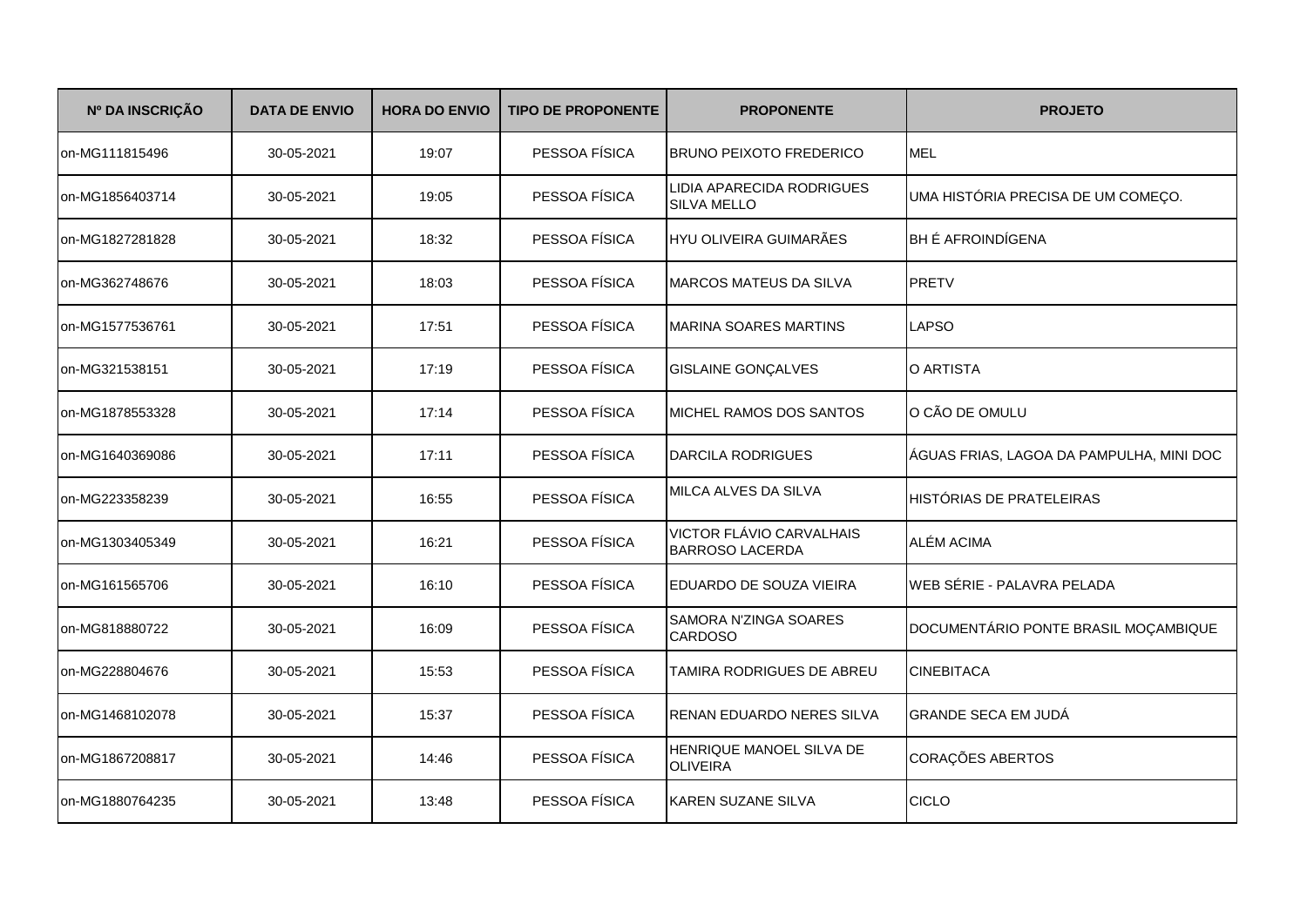| Nº DA INSCRIÇÃO | <b>DATA DE ENVIO</b> | <b>HORA DO ENVIO</b> | <b>TIPO DE PROPONENTE</b> | <b>PROPONENTE</b>                                  | <b>PROJETO</b>                           |
|-----------------|----------------------|----------------------|---------------------------|----------------------------------------------------|------------------------------------------|
| on-MG111815496  | 30-05-2021           | 19:07                | PESSOA FÍSICA             | <b>BRUNO PEIXOTO FREDERICO</b>                     | <b>MEL</b>                               |
| on-MG1856403714 | 30-05-2021           | 19:05                | PESSOA FÍSICA             | LIDIA APARECIDA RODRIGUES<br>SILVA MELLO           | UMA HISTÓRIA PRECISA DE UM COMEÇO.       |
| on-MG1827281828 | 30-05-2021           | 18:32                | PESSOA FÍSICA             | HYU OLIVEIRA GUIMARÃES                             | BH É AFROINDÍGENA                        |
| on-MG362748676  | 30-05-2021           | 18:03                | PESSOA FÍSICA             | <b>MARCOS MATEUS DA SILVA</b>                      | <b>PRETV</b>                             |
| on-MG1577536761 | 30-05-2021           | 17:51                | PESSOA FÍSICA             | <b>MARINA SOARES MARTINS</b>                       | <b>LAPSO</b>                             |
| on-MG321538151  | 30-05-2021           | 17:19                | PESSOA FÍSICA             | <b>GISLAINE GONÇALVES</b>                          | O ARTISTA                                |
| on-MG1878553328 | 30-05-2021           | 17:14                | PESSOA FÍSICA             | MICHEL RAMOS DOS SANTOS                            | O CÃO DE OMULU                           |
| on-MG1640369086 | 30-05-2021           | 17:11                | PESSOA FÍSICA             | <b>DARCILA RODRIGUES</b>                           | ÁGUAS FRIAS, LAGOA DA PAMPULHA, MINI DOC |
| on-MG223358239  | 30-05-2021           | 16:55                | PESSOA FÍSICA             | MILCA ALVES DA SILVA                               | HISTÓRIAS DE PRATELEIRAS                 |
| on-MG1303405349 | 30-05-2021           | 16:21                | PESSOA FÍSICA             | VICTOR FLÁVIO CARVALHAIS<br><b>BARROSO LACERDA</b> | ALÉM ACIMA                               |
| on-MG161565706  | 30-05-2021           | 16:10                | PESSOA FÍSICA             | EDUARDO DE SOUZA VIEIRA                            | WEB SÉRIE - PALAVRA PELADA               |
| on-MG818880722  | 30-05-2021           | 16:09                | PESSOA FÍSICA             | SAMORA N'ZINGA SOARES<br><b>CARDOSO</b>            | DOCUMENTÁRIO PONTE BRASIL MOÇAMBIQUE     |
| on-MG228804676  | 30-05-2021           | 15:53                | PESSOA FÍSICA             | TAMIRA RODRIGUES DE ABREU                          | <b>CINEBITACA</b>                        |
| on-MG1468102078 | 30-05-2021           | 15:37                | PESSOA FÍSICA             | RENAN EDUARDO NERES SILVA                          | <b>GRANDE SECA EM JUDÁ</b>               |
| on-MG1867208817 | 30-05-2021           | 14:46                | PESSOA FÍSICA             | HENRIQUE MANOEL SILVA DE<br><b>OLIVEIRA</b>        | CORAÇÕES ABERTOS                         |
| on-MG1880764235 | 30-05-2021           | 13:48                | PESSOA FÍSICA             | <b>KAREN SUZANE SILVA</b>                          | <b>CICLO</b>                             |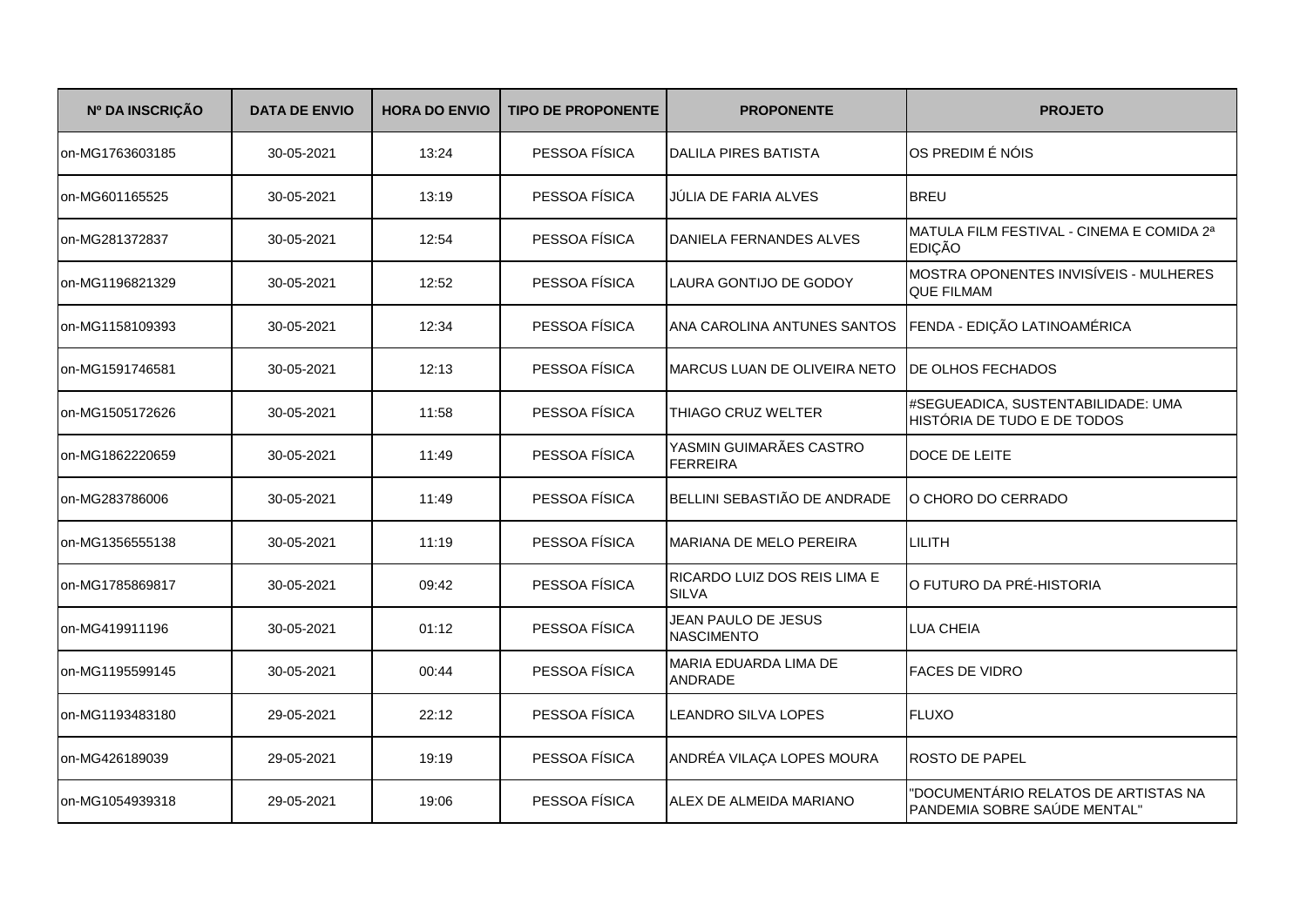| Nº DA INSCRIÇÃO | <b>DATA DE ENVIO</b> | <b>HORA DO ENVIO</b> | <b>TIPO DE PROPONENTE</b> | <b>PROPONENTE</b>                            | <b>PROJETO</b>                                                       |
|-----------------|----------------------|----------------------|---------------------------|----------------------------------------------|----------------------------------------------------------------------|
| on-MG1763603185 | 30-05-2021           | 13:24                | PESSOA FÍSICA             | <b>DALILA PIRES BATISTA</b>                  | OS PREDIM É NÓIS                                                     |
| on-MG601165525  | 30-05-2021           | 13:19                | PESSOA FÍSICA             | JULIA DE FARIA ALVES                         | <b>BREU</b>                                                          |
| on-MG281372837  | 30-05-2021           | 12:54                | PESSOA FÍSICA             | DANIELA FERNANDES ALVES                      | MATULA FILM FESTIVAL - CINEMA E COMIDA 2ª<br><b>EDIÇÃO</b>           |
| on-MG1196821329 | 30-05-2021           | 12:52                | PESSOA FÍSICA             | LAURA GONTIJO DE GODOY                       | MOSTRA OPONENTES INVISÍVEIS - MULHERES<br><b>QUE FILMAM</b>          |
| on-MG1158109393 | 30-05-2021           | 12:34                | PESSOA FÍSICA             | ANA CAROLINA ANTUNES SANTOS                  | FENDA - EDIÇÃO LATINOAMÉRICA                                         |
| on-MG1591746581 | 30-05-2021           | 12:13                | PESSOA FÍSICA             | MARCUS LUAN DE OLIVEIRA NETO                 | DE OLHOS FECHADOS                                                    |
| on-MG1505172626 | 30-05-2021           | 11:58                | PESSOA FÍSICA             | THIAGO CRUZ WELTER                           | #SEGUEADICA, SUSTENTABILIDADE: UMA<br>HISTÓRIA DE TUDO E DE TODOS    |
| on-MG1862220659 | 30-05-2021           | 11:49                | PESSOA FÍSICA             | YASMIN GUIMARÃES CASTRO<br><b>FERREIRA</b>   | DOCE DE LEITE                                                        |
| on-MG283786006  | 30-05-2021           | 11:49                | PESSOA FÍSICA             | BELLINI SEBASTIÃO DE ANDRADE                 | O CHORO DO CERRADO                                                   |
| on-MG1356555138 | 30-05-2021           | 11:19                | PESSOA FÍSICA             | MARIANA DE MELO PEREIRA                      | LILITH                                                               |
| on-MG1785869817 | 30-05-2021           | 09:42                | PESSOA FÍSICA             | RICARDO LUIZ DOS REIS LIMA E<br><b>SILVA</b> | O FUTURO DA PRÉ-HISTORIA                                             |
| on-MG419911196  | 30-05-2021           | 01:12                | PESSOA FÍSICA             | JEAN PAULO DE JESUS<br><b>NASCIMENTO</b>     | <b>LUA CHEIA</b>                                                     |
| on-MG1195599145 | 30-05-2021           | 00:44                | PESSOA FÍSICA             | MARIA EDUARDA LIMA DE<br><b>ANDRADE</b>      | <b>FACES DE VIDRO</b>                                                |
| on-MG1193483180 | 29-05-2021           | 22:12                | PESSOA FÍSICA             | LEANDRO SILVA LOPES                          | <b>FLUXO</b>                                                         |
| on-MG426189039  | 29-05-2021           | 19:19                | PESSOA FÍSICA             | ANDRÉA VILAÇA LOPES MOURA                    | ROSTO DE PAPEL                                                       |
| on-MG1054939318 | 29-05-2021           | 19:06                | PESSOA FÍSICA             | ALEX DE ALMEIDA MARIANO                      | "DOCUMENTÁRIO RELATOS DE ARTISTAS NA<br>PANDEMIA SOBRE SAÚDE MENTAL" |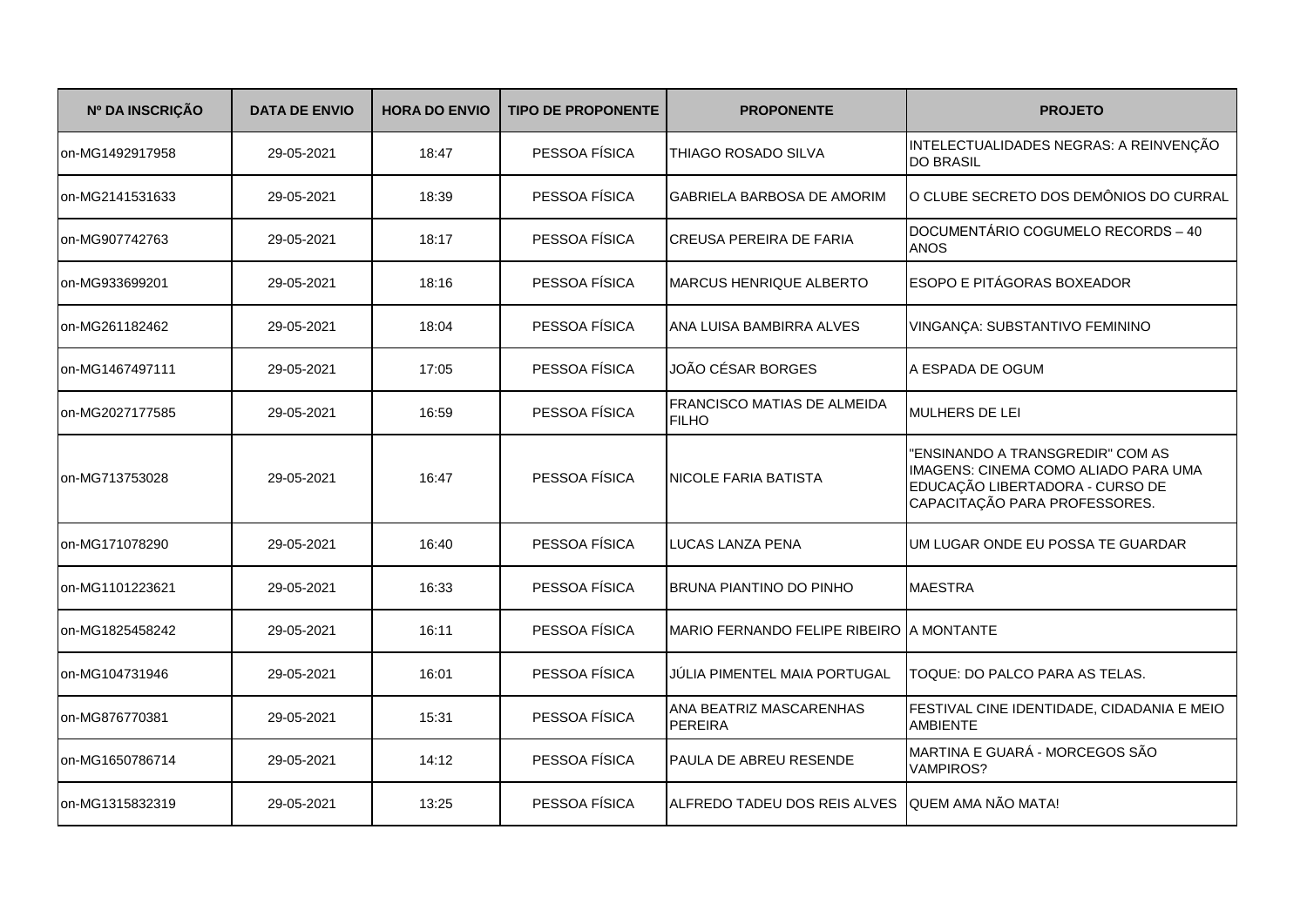| Nº DA INSCRIÇÃO | <b>DATA DE ENVIO</b> | <b>HORA DO ENVIO</b> | <b>TIPO DE PROPONENTE</b> | <b>PROPONENTE</b>                                  | <b>PROJETO</b>                                                                                                                               |
|-----------------|----------------------|----------------------|---------------------------|----------------------------------------------------|----------------------------------------------------------------------------------------------------------------------------------------------|
| on-MG1492917958 | 29-05-2021           | 18:47                | PESSOA FÍSICA             | THIAGO ROSADO SILVA                                | INTELECTUALIDADES NEGRAS: A REINVENÇÃO<br><b>DO BRASIL</b>                                                                                   |
| on-MG2141531633 | 29-05-2021           | 18:39                | PESSOA FÍSICA             | <b>GABRIELA BARBOSA DE AMORIM</b>                  | O CLUBE SECRETO DOS DEMÔNIOS DO CURRAL                                                                                                       |
| on-MG907742763  | 29-05-2021           | 18:17                | PESSOA FÍSICA             | <b>CREUSA PEREIRA DE FARIA</b>                     | DOCUMENTÁRIO COGUMELO RECORDS - 40<br><b>ANOS</b>                                                                                            |
| on-MG933699201  | 29-05-2021           | 18:16                | PESSOA FÍSICA             | <b>MARCUS HENRIQUE ALBERTO</b>                     | <b>ESOPO E PITÁGORAS BOXEADOR</b>                                                                                                            |
| on-MG261182462  | 29-05-2021           | 18:04                | PESSOA FÍSICA             | ANA LUISA BAMBIRRA ALVES                           | VINGANÇA: SUBSTANTIVO FEMININO                                                                                                               |
| on-MG1467497111 | 29-05-2021           | 17:05                | PESSOA FÍSICA             | JOÃO CÉSAR BORGES                                  | A ESPADA DE OGUM                                                                                                                             |
| on-MG2027177585 | 29-05-2021           | 16:59                | PESSOA FÍSICA             | <b>FRANCISCO MATIAS DE ALMEIDA</b><br><b>FILHO</b> | MULHERS DE LEI                                                                                                                               |
| on-MG713753028  | 29-05-2021           | 16:47                | PESSOA FÍSICA             | <b>NICOLE FARIA BATISTA</b>                        | "ENSINANDO A TRANSGREDIR" COM AS<br>IMAGENS: CINEMA COMO ALIADO PARA UMA<br>EDUCAÇÃO LIBERTADORA - CURSO DE<br>CAPACITAÇÃO PARA PROFESSORES. |
| on-MG171078290  | 29-05-2021           | 16:40                | PESSOA FÍSICA             | LUCAS LANZA PENA                                   | UM LUGAR ONDE EU POSSA TE GUARDAR                                                                                                            |
| on-MG1101223621 | 29-05-2021           | 16:33                | PESSOA FÍSICA             | <b>BRUNA PIANTINO DO PINHO</b>                     | <b>MAESTRA</b>                                                                                                                               |
| on-MG1825458242 | 29-05-2021           | 16:11                | PESSOA FÍSICA             | MARIO FERNANDO FELIPE RIBEIRO A MONTANTE           |                                                                                                                                              |
| on-MG104731946  | 29-05-2021           | 16:01                | PESSOA FÍSICA             | JÚLIA PIMENTEL MAIA PORTUGAL                       | TOQUE: DO PALCO PARA AS TELAS.                                                                                                               |
| on-MG876770381  | 29-05-2021           | 15:31                | PESSOA FÍSICA             | ANA BEATRIZ MASCARENHAS<br>PEREIRA                 | FESTIVAL CINE IDENTIDADE, CIDADANIA E MEIO<br><b>AMBIENTE</b>                                                                                |
| on-MG1650786714 | 29-05-2021           | 14:12                | PESSOA FÍSICA             | PAULA DE ABREU RESENDE                             | MARTINA E GUARÁ - MORCEGOS SÃO<br><b>VAMPIROS?</b>                                                                                           |
| on-MG1315832319 | 29-05-2021           | 13:25                | PESSOA FÍSICA             | ALFREDO TADEU DOS REIS ALVES                       | <b>QUEM AMA NÃO MATA!</b>                                                                                                                    |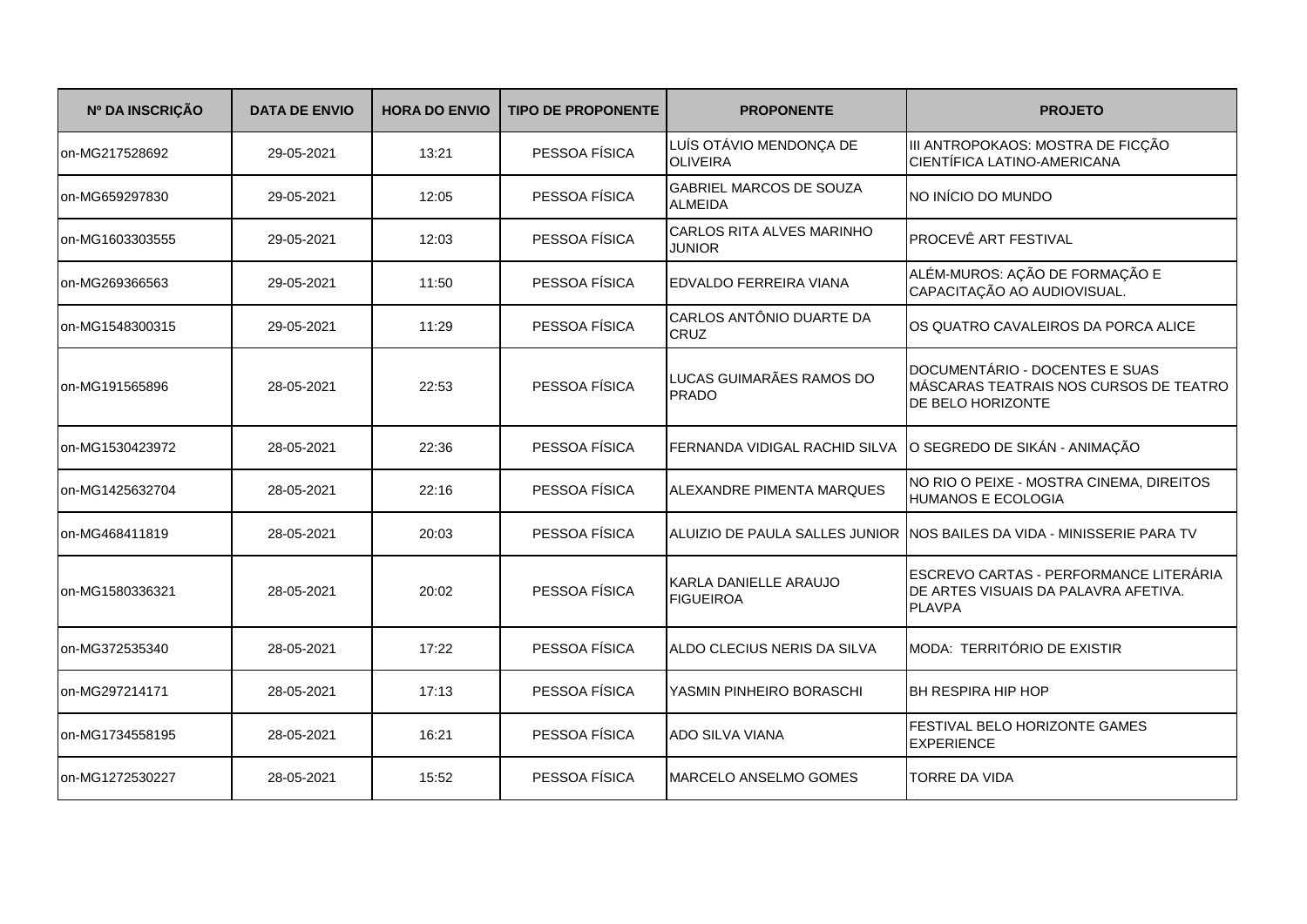| Nº DA INSCRIÇÃO | <b>DATA DE ENVIO</b> | <b>HORA DO ENVIO</b> | <b>TIPO DE PROPONENTE</b> | <b>PROPONENTE</b>                                | <b>PROJETO</b>                                                                                  |
|-----------------|----------------------|----------------------|---------------------------|--------------------------------------------------|-------------------------------------------------------------------------------------------------|
| on-MG217528692  | 29-05-2021           | 13:21                | PESSOA FÍSICA             | LUÍS OTÁVIO MENDONÇA DE<br><b>OLIVEIRA</b>       | III ANTROPOKAOS: MOSTRA DE FICÇÃO<br>CIENTÍFICA LATINO-AMERICANA                                |
| on-MG659297830  | 29-05-2021           | 12:05                | PESSOA FÍSICA             | <b>GABRIEL MARCOS DE SOUZA</b><br><b>ALMEIDA</b> | NO INÍCIO DO MUNDO                                                                              |
| on-MG1603303555 | 29-05-2021           | 12:03                | PESSOA FÍSICA             | CARLOS RITA ALVES MARINHO<br><b>JUNIOR</b>       | PROCEVÊ ART FESTIVAL                                                                            |
| on-MG269366563  | 29-05-2021           | 11:50                | PESSOA FÍSICA             | EDVALDO FERREIRA VIANA                           | ALÉM-MUROS: AÇÃO DE FORMAÇÃO E<br>CAPACITAÇÃO AO AUDIOVISUAL.                                   |
| on-MG1548300315 | 29-05-2021           | 11:29                | PESSOA FÍSICA             | CARLOS ANTÔNIO DUARTE DA<br><b>CRUZ</b>          | OS QUATRO CAVALEIROS DA PORCA ALICE                                                             |
| on-MG191565896  | 28-05-2021           | 22:53                | PESSOA FÍSICA             | LUCAS GUIMARÃES RAMOS DO<br><b>PRADO</b>         | DOCUMENTÁRIO - DOCENTES E SUAS<br>MÁSCARAS TEATRAIS NOS CURSOS DE TEATRO<br>DE BELO HORIZONTE   |
| on-MG1530423972 | 28-05-2021           | 22:36                | PESSOA FÍSICA             | FERNANDA VIDIGAL RACHID SILVA                    | O SEGREDO DE SIKÁN - ANIMAÇÃO                                                                   |
| on-MG1425632704 | 28-05-2021           | 22:16                | PESSOA FÍSICA             | ALEXANDRE PIMENTA MARQUES                        | NO RIO O PEIXE - MOSTRA CINEMA, DIREITOS<br><b>HUMANOS E ECOLOGIA</b>                           |
| on-MG468411819  | 28-05-2021           | 20:03                | PESSOA FÍSICA             |                                                  | ALUIZIO DE PAULA SALLES JUNIOR INOS BAILES DA VIDA - MINISSERIE PARA TV                         |
| on-MG1580336321 | 28-05-2021           | 20:02                | PESSOA FÍSICA             | KARLA DANIELLE ARAUJO<br><b>FIGUEIROA</b>        | ESCREVO CARTAS - PERFORMANCE LITERÁRIA<br>DE ARTES VISUAIS DA PALAVRA AFETIVA.<br><b>PLAVPA</b> |
| on-MG372535340  | 28-05-2021           | 17:22                | PESSOA FÍSICA             | ALDO CLECIUS NERIS DA SILVA                      | MODA: TERRITÓRIO DE EXISTIR                                                                     |
| on-MG297214171  | 28-05-2021           | 17:13                | PESSOA FÍSICA             | YASMIN PINHEIRO BORASCHI                         | <b>BH RESPIRA HIP HOP</b>                                                                       |
| on-MG1734558195 | 28-05-2021           | 16:21                | PESSOA FÍSICA             | <b>ADO SILVA VIANA</b>                           | FESTIVAL BELO HORIZONTE GAMES<br><b>EXPERIENCE</b>                                              |
| on-MG1272530227 | 28-05-2021           | 15:52                | PESSOA FÍSICA             | MARCELO ANSELMO GOMES                            | TORRE DA VIDA                                                                                   |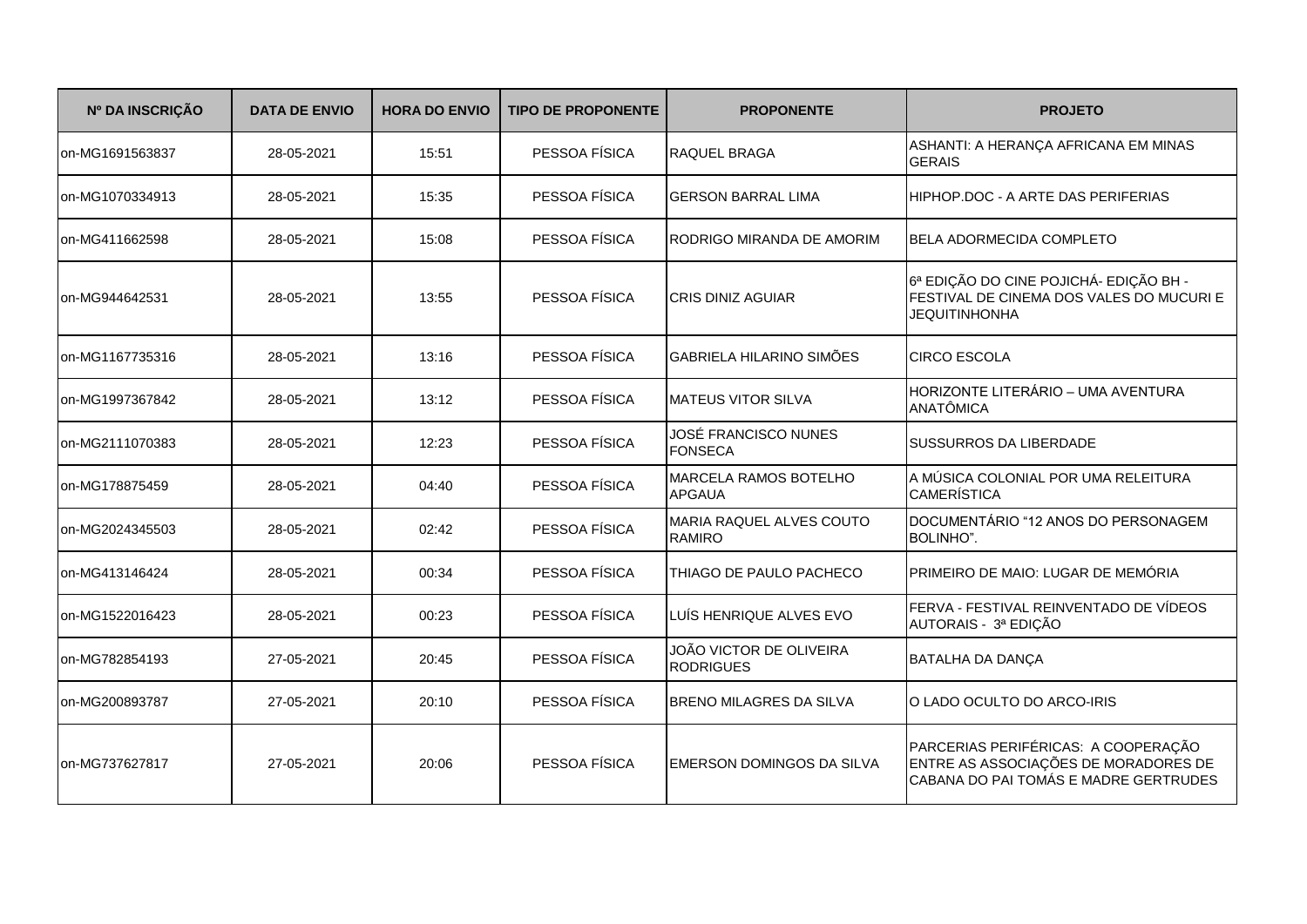| Nº DA INSCRIÇÃO | <b>DATA DE ENVIO</b> | <b>HORA DO ENVIO</b> | <b>TIPO DE PROPONENTE</b> | <b>PROPONENTE</b>                           | <b>PROJETO</b>                                                                                                       |
|-----------------|----------------------|----------------------|---------------------------|---------------------------------------------|----------------------------------------------------------------------------------------------------------------------|
| on-MG1691563837 | 28-05-2021           | 15:51                | PESSOA FÍSICA             | <b>RAQUEL BRAGA</b>                         | ASHANTI: A HERANÇA AFRICANA EM MINAS<br><b>GERAIS</b>                                                                |
| on-MG1070334913 | 28-05-2021           | 15:35                | PESSOA FÍSICA             | <b>GERSON BARRAL LIMA</b>                   | HIPHOP.DOC - A ARTE DAS PERIFERIAS                                                                                   |
| on-MG411662598  | 28-05-2021           | 15:08                | PESSOA FÍSICA             | RODRIGO MIRANDA DE AMORIM                   | <b>BELA ADORMECIDA COMPLETO</b>                                                                                      |
| on-MG944642531  | 28-05-2021           | 13:55                | PESSOA FÍSICA             | CRIS DINIZ AGUIAR                           | 6ª EDIÇÃO DO CINE POJICHÁ- EDIÇÃO BH -<br>FESTIVAL DE CINEMA DOS VALES DO MUCURI E<br><b>JEQUITINHONHA</b>           |
| on-MG1167735316 | 28-05-2021           | 13:16                | PESSOA FÍSICA             | GABRIELA HILARINO SIMÕES                    | <b>CIRCO ESCOLA</b>                                                                                                  |
| on-MG1997367842 | 28-05-2021           | 13:12                | PESSOA FÍSICA             | <b>MATEUS VITOR SILVA</b>                   | HORIZONTE LITERÁRIO - UMA AVENTURA<br><b>ANATÔMICA</b>                                                               |
| on-MG2111070383 | 28-05-2021           | 12:23                | PESSOA FÍSICA             | JOSÉ FRANCISCO NUNES<br><b>FONSECA</b>      | <b>SUSSURROS DA LIBERDADE</b>                                                                                        |
| on-MG178875459  | 28-05-2021           | 04:40                | PESSOA FÍSICA             | MARCELA RAMOS BOTELHO<br><b>APGAUA</b>      | A MÚSICA COLONIAL POR UMA RELEITURA<br><b>CAMERÍSTICA</b>                                                            |
| on-MG2024345503 | 28-05-2021           | 02:42                | PESSOA FÍSICA             | MARIA RAQUEL ALVES COUTO<br><b>RAMIRO</b>   | DOCUMENTÁRIO "12 ANOS DO PERSONAGEM<br>BOLINHO".                                                                     |
| on-MG413146424  | 28-05-2021           | 00:34                | PESSOA FÍSICA             | THIAGO DE PAULO PACHECO                     | PRIMEIRO DE MAIO: LUGAR DE MEMÓRIA                                                                                   |
| on-MG1522016423 | 28-05-2021           | 00:23                | PESSOA FÍSICA             | LUÍS HENRIQUE ALVES EVO                     | FERVA - FESTIVAL REINVENTADO DE VÍDEOS<br>AUTORAIS - 3ª EDIÇÃO                                                       |
| on-MG782854193  | 27-05-2021           | 20:45                | PESSOA FÍSICA             | JOÃO VICTOR DE OLIVEIRA<br><b>RODRIGUES</b> | <b>BATALHA DA DANÇA</b>                                                                                              |
| on-MG200893787  | 27-05-2021           | 20:10                | PESSOA FÍSICA             | <b>BRENO MILAGRES DA SILVA</b>              | O LADO OCULTO DO ARCO-IRIS                                                                                           |
| on-MG737627817  | 27-05-2021           | 20:06                | PESSOA FÍSICA             | EMERSON DOMINGOS DA SILVA                   | PARCERIAS PERIFÉRICAS: A COOPERAÇÃO<br>ENTRE AS ASSOCIAÇÕES DE MORADORES DE<br>CABANA DO PAI TOMÁS E MADRE GERTRUDES |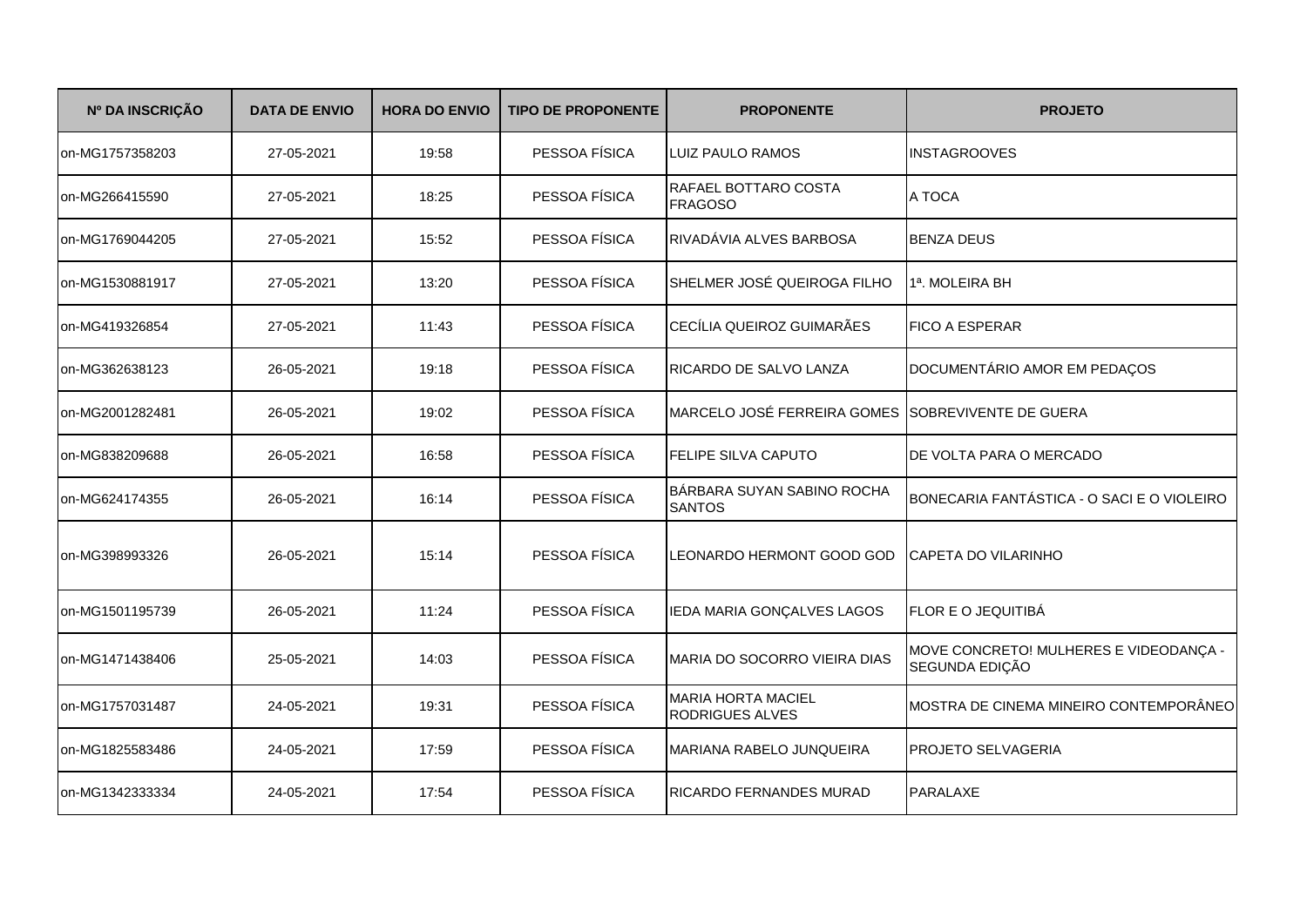| Nº DA INSCRIÇÃO | <b>DATA DE ENVIO</b> | <b>HORA DO ENVIO</b> | <b>TIPO DE PROPONENTE</b> | <b>PROPONENTE</b>                                 | <b>PROJETO</b>                                           |
|-----------------|----------------------|----------------------|---------------------------|---------------------------------------------------|----------------------------------------------------------|
| on-MG1757358203 | 27-05-2021           | 19:58                | PESSOA FÍSICA             | LUIZ PAULO RAMOS                                  | <b>INSTAGROOVES</b>                                      |
| on-MG266415590  | 27-05-2021           | 18:25                | PESSOA FÍSICA             | RAFAEL BOTTARO COSTA<br><b>FRAGOSO</b>            | A TOCA                                                   |
| on-MG1769044205 | 27-05-2021           | 15:52                | PESSOA FÍSICA             | RIVADÁVIA ALVES BARBOSA                           | <b>BENZA DEUS</b>                                        |
| on-MG1530881917 | 27-05-2021           | 13:20                | PESSOA FÍSICA             | SHELMER JOSÉ QUEIROGA FILHO                       | 1ª. MOLEIRA BH                                           |
| on-MG419326854  | 27-05-2021           | 11:43                | PESSOA FÍSICA             | CECÍLIA QUEIROZ GUIMARÃES                         | <b>FICO A ESPERAR</b>                                    |
| on-MG362638123  | 26-05-2021           | 19:18                | PESSOA FÍSICA             | <b>RICARDO DE SALVO LANZA</b>                     | DOCUMENTÁRIO AMOR EM PEDAÇOS                             |
| on-MG2001282481 | 26-05-2021           | 19:02                | PESSOA FÍSICA             | MARCELO JOSÉ FERREIRA GOMES SOBREVIVENTE DE GUERA |                                                          |
| on-MG838209688  | 26-05-2021           | 16:58                | PESSOA FÍSICA             | FELIPE SILVA CAPUTO                               | <b>DE VOLTA PARA O MERCADO</b>                           |
| on-MG624174355  | 26-05-2021           | 16:14                | PESSOA FÍSICA             | BÁRBARA SUYAN SABINO ROCHA<br><b>SANTOS</b>       | BONECARIA FANTÁSTICA - O SACI E O VIOLEIRO               |
| on-MG398993326  | 26-05-2021           | 15:14                | PESSOA FÍSICA             | LEONARDO HERMONT GOOD GOD                         | CAPETA DO VILARINHO                                      |
| on-MG1501195739 | 26-05-2021           | 11:24                | PESSOA FÍSICA             | IEDA MARIA GONÇALVES LAGOS                        | FLOR E O JEQUITIBÁ                                       |
| on-MG1471438406 | 25-05-2021           | 14:03                | PESSOA FÍSICA             | MARIA DO SOCORRO VIEIRA DIAS                      | MOVE CONCRETO! MULHERES E VIDEODANÇA -<br>SEGUNDA EDIÇÃO |
| on-MG1757031487 | 24-05-2021           | 19:31                | PESSOA FÍSICA             | <b>MARIA HORTA MACIEL</b><br>RODRIGUES ALVES      | MOSTRA DE CINEMA MINEIRO CONTEMPORÂNEO                   |
| on-MG1825583486 | 24-05-2021           | 17:59                | PESSOA FÍSICA             | MARIANA RABELO JUNQUEIRA                          | PROJETO SELVAGERIA                                       |
| on-MG1342333334 | 24-05-2021           | 17:54                | PESSOA FÍSICA             | RICARDO FERNANDES MURAD                           | <b>PARALAXE</b>                                          |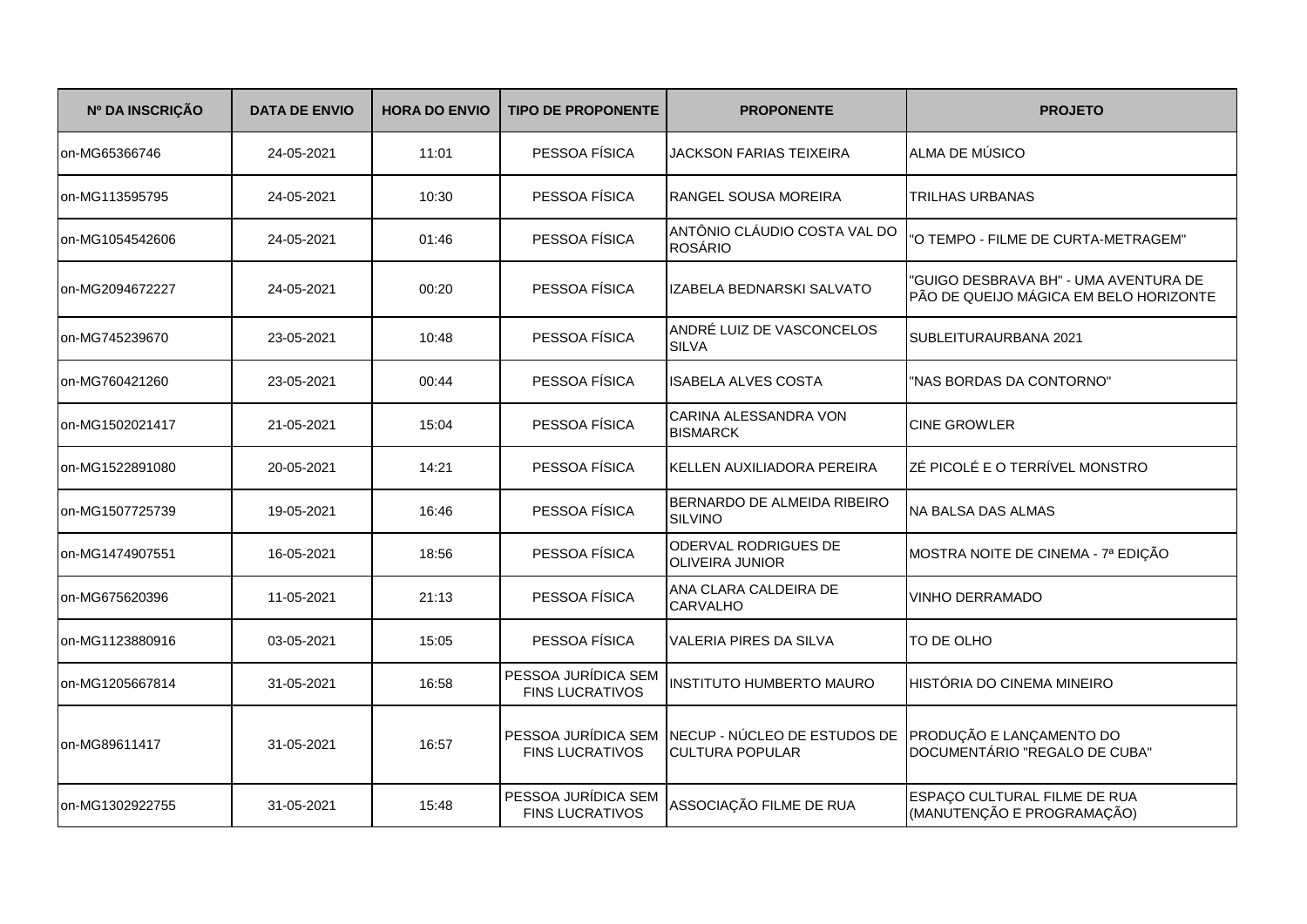| Nº DA INSCRIÇÃO | <b>DATA DE ENVIO</b> | <b>HORA DO ENVIO</b> | <b>TIPO DE PROPONENTE</b>                     | <b>PROPONENTE</b>                                                                                   | <b>PROJETO</b>                                                                  |
|-----------------|----------------------|----------------------|-----------------------------------------------|-----------------------------------------------------------------------------------------------------|---------------------------------------------------------------------------------|
| on-MG65366746   | 24-05-2021           | 11:01                | PESSOA FÍSICA                                 | JACKSON FARIAS TEIXEIRA                                                                             | ALMA DE MÚSICO                                                                  |
| on-MG113595795  | 24-05-2021           | 10:30                | PESSOA FÍSICA                                 | RANGEL SOUSA MOREIRA                                                                                | TRILHAS URBANAS                                                                 |
| on-MG1054542606 | 24-05-2021           | 01:46                | PESSOA FÍSICA                                 | ANTÔNIO CLÁUDIO COSTA VAL DO<br><b>ROSÁRIO</b>                                                      | "O TEMPO - FILME DE CURTA-METRAGEM"                                             |
| on-MG2094672227 | 24-05-2021           | 00:20                | PESSOA FÍSICA                                 | IZABELA BEDNARSKI SALVATO                                                                           | "GUIGO DESBRAVA BH" - UMA AVENTURA DE<br>PÃO DE QUEIJO MÁGICA EM BELO HORIZONTE |
| on-MG745239670  | 23-05-2021           | 10:48                | PESSOA FÍSICA                                 | ANDRÉ LUIZ DE VASCONCELOS<br><b>SILVA</b>                                                           | SUBLEITURAURBANA 2021                                                           |
| on-MG760421260  | 23-05-2021           | 00:44                | PESSOA FÍSICA                                 | <b>ISABELA ALVES COSTA</b>                                                                          | "NAS BORDAS DA CONTORNO"                                                        |
| on-MG1502021417 | 21-05-2021           | 15:04                | PESSOA FÍSICA                                 | CARINA ALESSANDRA VON<br><b>BISMARCK</b>                                                            | <b>CINE GROWLER</b>                                                             |
| on-MG1522891080 | 20-05-2021           | 14:21                | PESSOA FÍSICA                                 | KELLEN AUXILIADORA PEREIRA                                                                          | ZÉ PICOLÉ E O TERRÍVEL MONSTRO                                                  |
| on-MG1507725739 | 19-05-2021           | 16:46                | PESSOA FÍSICA                                 | BERNARDO DE ALMEIDA RIBEIRO<br><b>SILVINO</b>                                                       | <b>INA BALSA DAS ALMAS</b>                                                      |
| on-MG1474907551 | 16-05-2021           | 18:56                | PESSOA FÍSICA                                 | ODERVAL RODRIGUES DE<br><b>OLIVEIRA JUNIOR</b>                                                      | MOSTRA NOITE DE CINEMA - 7ª EDIÇÃO                                              |
| on-MG675620396  | 11-05-2021           | 21:13                | PESSOA FÍSICA                                 | ANA CLARA CALDEIRA DE<br><b>CARVALHO</b>                                                            | <b>VINHO DERRAMADO</b>                                                          |
| on-MG1123880916 | 03-05-2021           | 15:05                | PESSOA FÍSICA                                 | <b>VALERIA PIRES DA SILVA</b>                                                                       | TO DE OLHO                                                                      |
| on-MG1205667814 | 31-05-2021           | 16:58                | PESSOA JURÍDICA SEM<br><b>FINS LUCRATIVOS</b> | <b>INSTITUTO HUMBERTO MAURO</b>                                                                     | HISTÓRIA DO CINEMA MINEIRO                                                      |
| on-MG89611417   | 31-05-2021           | 16:57                | <b>FINS LUCRATIVOS</b>                        | PESSOA JURÍDICA SEM NECUP - NÚCLEO DE ESTUDOS DE PRODUÇÃO E LANÇAMENTO DO<br><b>CULTURA POPULAR</b> | DOCUMENTÁRIO "REGALO DE CUBA"                                                   |
| on-MG1302922755 | 31-05-2021           | 15:48                | PESSOA JURÍDICA SEM<br><b>FINS LUCRATIVOS</b> | ASSOCIAÇÃO FILME DE RUA                                                                             | ESPAÇO CULTURAL FILME DE RUA<br>(MANUTENÇÃO E PROGRAMAÇÃO)                      |